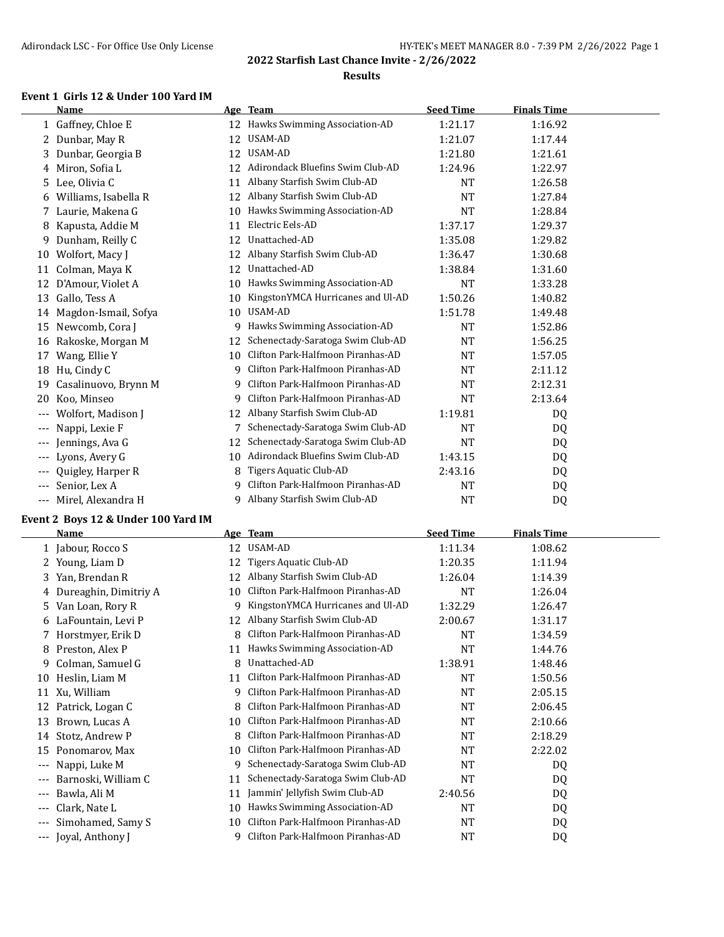#### **Results**

#### **Event 1 Girls 12 & Under 100 Yard IM**

|       | <b>Name</b>          |    | Age Team                          | <b>Seed Time</b> | <b>Finals Time</b> |  |
|-------|----------------------|----|-----------------------------------|------------------|--------------------|--|
|       | 1 Gaffney, Chloe E   | 12 | Hawks Swimming Association-AD     | 1:21.17          | 1:16.92            |  |
| 2     | Dunbar, May R        | 12 | USAM-AD                           | 1:21.07          | 1:17.44            |  |
| 3     | Dunbar, Georgia B    | 12 | <b>USAM-AD</b>                    | 1:21.80          | 1:21.61            |  |
| 4     | Miron, Sofia L       | 12 | Adirondack Bluefins Swim Club-AD  | 1:24.96          | 1:22.97            |  |
| 5     | Lee, Olivia C        | 11 | Albany Starfish Swim Club-AD      | <b>NT</b>        | 1:26.58            |  |
| 6     | Williams, Isabella R | 12 | Albany Starfish Swim Club-AD      | <b>NT</b>        | 1:27.84            |  |
|       | Laurie, Makena G     | 10 | Hawks Swimming Association-AD     | <b>NT</b>        | 1:28.84            |  |
| 8     | Kapusta, Addie M     | 11 | Electric Eels-AD                  | 1:37.17          | 1:29.37            |  |
| 9     | Dunham, Reilly C     | 12 | Unattached-AD                     | 1:35.08          | 1:29.82            |  |
| 10    | Wolfort, Macy J      | 12 | Albany Starfish Swim Club-AD      | 1:36.47          | 1:30.68            |  |
| 11    | Colman, Maya K       | 12 | Unattached-AD                     | 1:38.84          | 1:31.60            |  |
| 12    | D'Amour, Violet A    | 10 | Hawks Swimming Association-AD     | <b>NT</b>        | 1:33.28            |  |
| 13    | Gallo, Tess A        | 10 | KingstonYMCA Hurricanes and Ul-AD | 1:50.26          | 1:40.82            |  |
| 14    | Magdon-Ismail, Sofya | 10 | USAM-AD                           | 1:51.78          | 1:49.48            |  |
| 15    | Newcomb, Cora J      | 9  | Hawks Swimming Association-AD     | <b>NT</b>        | 1:52.86            |  |
| 16    | Rakoske, Morgan M    | 12 | Schenectady-Saratoga Swim Club-AD | <b>NT</b>        | 1:56.25            |  |
| 17    | Wang, Ellie Y        | 10 | Clifton Park-Halfmoon Piranhas-AD | <b>NT</b>        | 1:57.05            |  |
| 18    | Hu, Cindy C          | g  | Clifton Park-Halfmoon Piranhas-AD | <b>NT</b>        | 2:11.12            |  |
| 19    | Casalinuovo, Brynn M | 9  | Clifton Park-Halfmoon Piranhas-AD | <b>NT</b>        | 2:12.31            |  |
| 20    | Koo, Minseo          | 9  | Clifton Park-Halfmoon Piranhas-AD | <b>NT</b>        | 2:13.64            |  |
|       | Wolfort, Madison J   | 12 | Albany Starfish Swim Club-AD      | 1:19.81          | DQ                 |  |
| ---   | Nappi, Lexie F       |    | Schenectady-Saratoga Swim Club-AD | <b>NT</b>        | DQ                 |  |
| ---   | Jennings, Ava G      | 12 | Schenectady-Saratoga Swim Club-AD | <b>NT</b>        | DQ                 |  |
| ---   | Lyons, Avery G       | 10 | Adirondack Bluefins Swim Club-AD  | 1:43.15          | DQ                 |  |
|       | Quigley, Harper R    | 8  | Tigers Aquatic Club-AD            | 2:43.16          | DQ                 |  |
| $---$ | Senior, Lex A        | 9  | Clifton Park-Halfmoon Piranhas-AD | <b>NT</b>        | DQ                 |  |
| $---$ | Mirel, Alexandra H   | 9  | Albany Starfish Swim Club-AD      | NT               | DQ                 |  |

#### **Event 2 Boys 12 & Under 100 Yard IM**

|       | Name                    | Age | <b>Team</b>                       | <b>Seed Time</b> | <b>Finals Time</b> |  |
|-------|-------------------------|-----|-----------------------------------|------------------|--------------------|--|
|       | 1 Jabour, Rocco S       | 12  | USAM-AD                           | 1:11.34          | 1:08.62            |  |
|       | 2 Young, Liam D         | 12  | Tigers Aquatic Club-AD            | 1:20.35          | 1:11.94            |  |
|       | 3 Yan, Brendan R        | 12  | Albany Starfish Swim Club-AD      | 1:26.04          | 1:14.39            |  |
|       | 4 Dureaghin, Dimitriy A | 10  | Clifton Park-Halfmoon Piranhas-AD | NT               | 1:26.04            |  |
| 5     | Van Loan, Rory R        | 9   | KingstonYMCA Hurricanes and Ul-AD | 1:32.29          | 1:26.47            |  |
| 6     | LaFountain, Levi P      | 12  | Albany Starfish Swim Club-AD      | 2:00.67          | 1:31.17            |  |
|       | Horstmyer, Erik D       | 8   | Clifton Park-Halfmoon Piranhas-AD | <b>NT</b>        | 1:34.59            |  |
| 8     | Preston, Alex P         | 11  | Hawks Swimming Association-AD     | <b>NT</b>        | 1:44.76            |  |
| 9     | Colman, Samuel G        | 8   | Unattached-AD                     | 1:38.91          | 1:48.46            |  |
| 10    | Heslin, Liam M          | 11  | Clifton Park-Halfmoon Piranhas-AD | NT               | 1:50.56            |  |
| 11    | Xu, William             | 9   | Clifton Park-Halfmoon Piranhas-AD | <b>NT</b>        | 2:05.15            |  |
| 12    | Patrick, Logan C        |     | Clifton Park-Halfmoon Piranhas-AD | NT               | 2:06.45            |  |
| 13    | Brown, Lucas A          | 10  | Clifton Park-Halfmoon Piranhas-AD | <b>NT</b>        | 2:10.66            |  |
| 14    | Stotz, Andrew P         | 8   | Clifton Park-Halfmoon Piranhas-AD | <b>NT</b>        | 2:18.29            |  |
| 15    | Ponomarov, Max          | 10  | Clifton Park-Halfmoon Piranhas-AD | <b>NT</b>        | 2:22.02            |  |
| ---   | Nappi, Luke M           | 9   | Schenectady-Saratoga Swim Club-AD | <b>NT</b>        | DQ                 |  |
| $---$ | Barnoski, William C     | 11  | Schenectady-Saratoga Swim Club-AD | <b>NT</b>        | DQ                 |  |
| $---$ | Bawla, Ali M            | 11  | Jammin' Jellyfish Swim Club-AD    | 2:40.56          | DQ                 |  |
| $---$ | Clark, Nate L           | 10  | Hawks Swimming Association-AD     | NT               | DQ                 |  |
| $---$ | Simohamed, Samy S       | 10  | Clifton Park-Halfmoon Piranhas-AD | <b>NT</b>        | DQ                 |  |
| $---$ | Joyal, Anthony J        | 9   | Clifton Park-Halfmoon Piranhas-AD | NT               | DQ                 |  |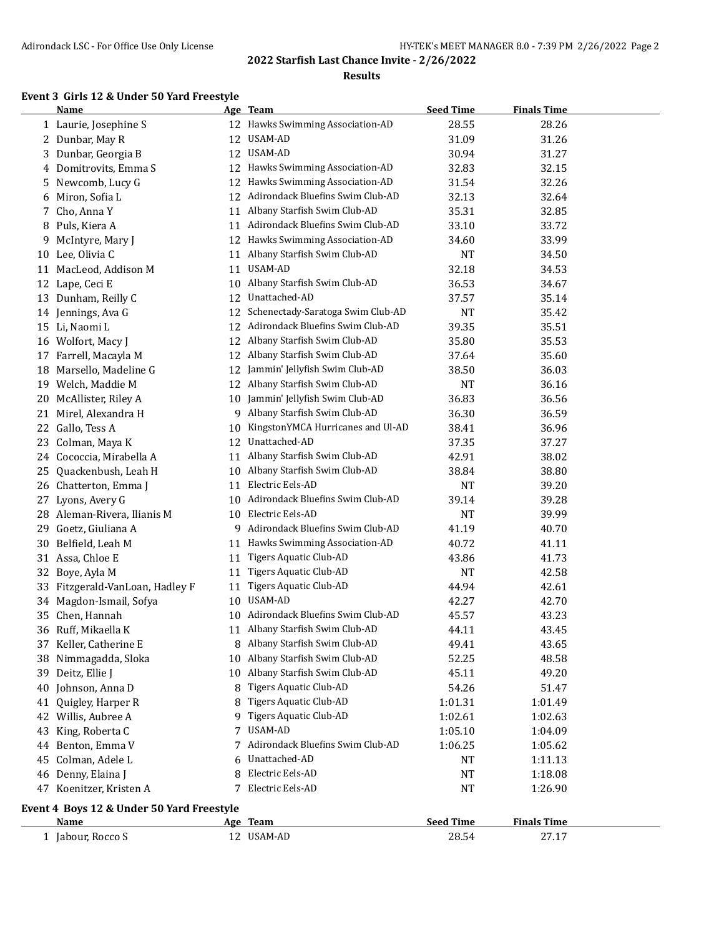#### **Results**

### **Event 3 Girls 12 & Under 50 Yard Freestyle**

|    | <b>Name</b>                               |    | Age Team                           | <b>Seed Time</b> | <b>Finals Time</b> |  |
|----|-------------------------------------------|----|------------------------------------|------------------|--------------------|--|
|    | 1 Laurie, Josephine S                     |    | 12 Hawks Swimming Association-AD   | 28.55            | 28.26              |  |
|    | 2 Dunbar, May R                           | 12 | USAM-AD                            | 31.09            | 31.26              |  |
|    | 3 Dunbar, Georgia B                       | 12 | USAM-AD                            | 30.94            | 31.27              |  |
|    | 4 Domitrovits, Emma S                     | 12 | Hawks Swimming Association-AD      | 32.83            | 32.15              |  |
| 5. | Newcomb, Lucy G                           | 12 | Hawks Swimming Association-AD      | 31.54            | 32.26              |  |
| 6  | Miron, Sofia L                            | 12 | Adirondack Bluefins Swim Club-AD   | 32.13            | 32.64              |  |
|    | 7 Cho, Anna Y                             |    | 11 Albany Starfish Swim Club-AD    | 35.31            | 32.85              |  |
|    | 8 Puls, Kiera A                           | 11 | Adirondack Bluefins Swim Club-AD   | 33.10            | 33.72              |  |
| 9. | McIntyre, Mary J                          |    | 12 Hawks Swimming Association-AD   | 34.60            | 33.99              |  |
| 10 | Lee, Olivia C                             | 11 | Albany Starfish Swim Club-AD       | <b>NT</b>        | 34.50              |  |
|    | 11 MacLeod, Addison M                     | 11 | USAM-AD                            | 32.18            | 34.53              |  |
|    | 12 Lape, Ceci E                           | 10 | Albany Starfish Swim Club-AD       | 36.53            | 34.67              |  |
| 13 | Dunham, Reilly C                          | 12 | Unattached-AD                      | 37.57            | 35.14              |  |
|    | 14 Jennings, Ava G                        | 12 | Schenectady-Saratoga Swim Club-AD  | <b>NT</b>        | 35.42              |  |
|    | 15 Li, Naomi L                            | 12 | Adirondack Bluefins Swim Club-AD   | 39.35            | 35.51              |  |
|    | 16 Wolfort, Macy J                        | 12 | Albany Starfish Swim Club-AD       | 35.80            | 35.53              |  |
|    | 17 Farrell, Macayla M                     | 12 | Albany Starfish Swim Club-AD       | 37.64            | 35.60              |  |
| 18 | Marsello, Madeline G                      | 12 | Jammin' Jellyfish Swim Club-AD     | 38.50            | 36.03              |  |
|    | 19 Welch, Maddie M                        | 12 | Albany Starfish Swim Club-AD       | NT               | 36.16              |  |
| 20 | McAllister, Riley A                       | 10 | Jammin' Jellyfish Swim Club-AD     | 36.83            | 36.56              |  |
|    | 21 Mirel, Alexandra H                     | 9  | Albany Starfish Swim Club-AD       | 36.30            | 36.59              |  |
| 22 | Gallo, Tess A                             | 10 | KingstonYMCA Hurricanes and Ul-AD  | 38.41            | 36.96              |  |
| 23 | Colman, Maya K                            | 12 | Unattached-AD                      | 37.35            | 37.27              |  |
|    | 24 Cococcia, Mirabella A                  | 11 | Albany Starfish Swim Club-AD       | 42.91            | 38.02              |  |
| 25 | Quackenbush, Leah H                       | 10 | Albany Starfish Swim Club-AD       | 38.84            | 38.80              |  |
|    | 26 Chatterton, Emma J                     | 11 | Electric Eels-AD                   | <b>NT</b>        | 39.20              |  |
| 27 | Lyons, Avery G                            | 10 | Adirondack Bluefins Swim Club-AD   | 39.14            | 39.28              |  |
|    | 28 Aleman-Rivera, Ilianis M               |    | 10 Electric Eels-AD                | NT               | 39.99              |  |
| 29 | Goetz, Giuliana A                         |    | 9 Adirondack Bluefins Swim Club-AD | 41.19            | 40.70              |  |
| 30 | Belfield, Leah M                          | 11 | Hawks Swimming Association-AD      | 40.72            | 41.11              |  |
|    | 31 Assa, Chloe E                          | 11 | Tigers Aquatic Club-AD             | 43.86            | 41.73              |  |
| 32 | Boye, Ayla M                              | 11 | Tigers Aquatic Club-AD             | <b>NT</b>        | 42.58              |  |
| 33 | Fitzgerald-VanLoan, Hadley F              | 11 | <b>Tigers Aquatic Club-AD</b>      | 44.94            | 42.61              |  |
| 34 | Magdon-Ismail, Sofya                      | 10 | USAM-AD                            | 42.27            | 42.70              |  |
| 35 | Chen, Hannah                              | 10 | Adirondack Bluefins Swim Club-AD   | 45.57            | 43.23              |  |
|    | 36 Ruff, Mikaella K                       |    | 11 Albany Starfish Swim Club-AD    | 44.11            | 43.45              |  |
|    | 37 Keller, Catherine E                    | 8  | Albany Starfish Swim Club-AD       | 49.41            | 43.65              |  |
|    | 38 Nimmagadda, Sloka                      | 10 | Albany Starfish Swim Club-AD       | 52.25            | 48.58              |  |
|    | 39 Deitz, Ellie J                         | 10 | Albany Starfish Swim Club-AD       | 45.11            | 49.20              |  |
|    | 40 Johnson, Anna D                        | 8  | Tigers Aquatic Club-AD             | 54.26            | 51.47              |  |
| 41 | Quigley, Harper R                         | 8  | <b>Tigers Aquatic Club-AD</b>      | 1:01.31          | 1:01.49            |  |
|    | 42 Willis, Aubree A                       | 9  | <b>Tigers Aquatic Club-AD</b>      | 1:02.61          | 1:02.63            |  |
| 43 | King, Roberta C                           | 7  | USAM-AD                            | 1:05.10          | 1:04.09            |  |
| 44 | Benton, Emma V                            | 7  | Adirondack Bluefins Swim Club-AD   | 1:06.25          | 1:05.62            |  |
| 45 | Colman, Adele L                           |    | Unattached-AD                      | <b>NT</b>        | 1:11.13            |  |
| 46 | Denny, Elaina J                           | 8  | Electric Eels-AD                   | <b>NT</b>        | 1:18.08            |  |
|    | 47 Koenitzer, Kristen A                   | 7  | Electric Eels-AD                   | <b>NT</b>        | 1:26.90            |  |
|    |                                           |    |                                    |                  |                    |  |
|    | Event 4 Boys 12 & Under 50 Yard Freestyle |    |                                    |                  |                    |  |
|    | <b>Name</b>                               |    | Age Team                           | <b>Seed Time</b> | <b>Finals Time</b> |  |
|    | 1 Jabour, Rocco S                         |    | 12 USAM-AD                         | 28.54            | 27.17              |  |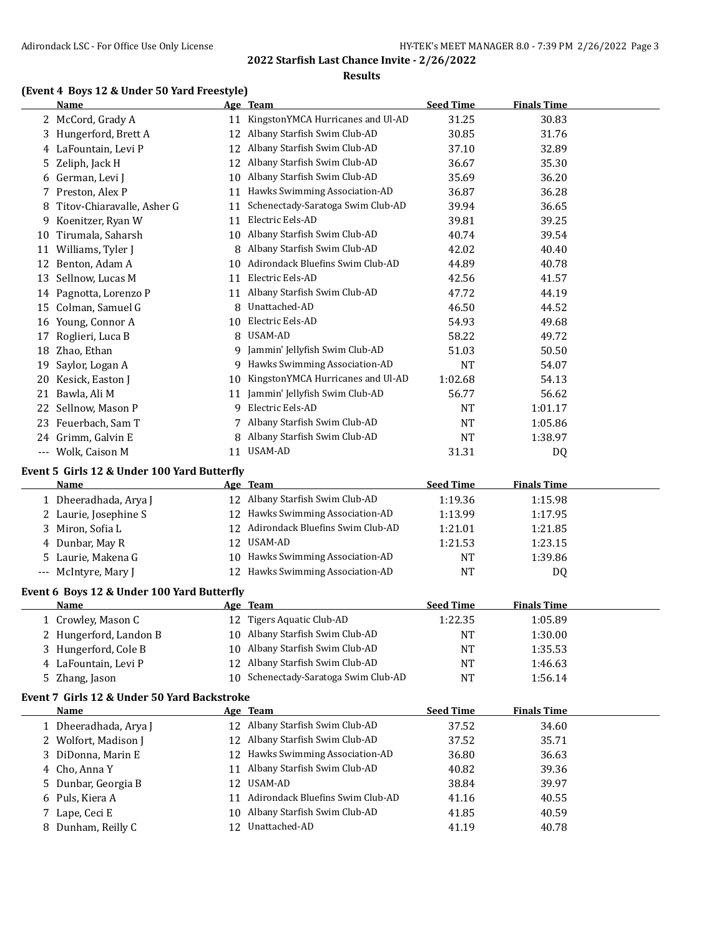#### **Results**

# **(Event 4 Boys 12 & Under 50 Yard Freestyle)**

|    | Name                                                |    | <u>Age Team</u>                      | <b>Seed Time</b> | <b>Finals Time</b> |  |
|----|-----------------------------------------------------|----|--------------------------------------|------------------|--------------------|--|
|    | 2 McCord, Grady A                                   |    | 11 KingstonYMCA Hurricanes and Ul-AD | 31.25            | 30.83              |  |
| 3  | Hungerford, Brett A                                 |    | 12 Albany Starfish Swim Club-AD      | 30.85            | 31.76              |  |
|    | 4 LaFountain, Levi P                                |    | 12 Albany Starfish Swim Club-AD      | 37.10            | 32.89              |  |
| 5. | Zeliph, Jack H                                      | 12 | Albany Starfish Swim Club-AD         | 36.67            | 35.30              |  |
|    | 6 German, Levi J                                    | 10 | Albany Starfish Swim Club-AD         | 35.69            | 36.20              |  |
| 7  | Preston, Alex P                                     | 11 | Hawks Swimming Association-AD        | 36.87            | 36.28              |  |
| 8  | Titov-Chiaravalle, Asher G                          | 11 | Schenectady-Saratoga Swim Club-AD    | 39.94            | 36.65              |  |
| 9  | Koenitzer, Ryan W                                   | 11 | Electric Eels-AD                     | 39.81            | 39.25              |  |
|    | 10 Tirumala, Saharsh                                |    | 10 Albany Starfish Swim Club-AD      | 40.74            | 39.54              |  |
|    | 11 Williams, Tyler J                                | 8  | Albany Starfish Swim Club-AD         | 42.02            | 40.40              |  |
|    | 12 Benton, Adam A                                   | 10 | Adirondack Bluefins Swim Club-AD     | 44.89            | 40.78              |  |
|    | 13 Sellnow, Lucas M                                 |    | 11 Electric Eels-AD                  | 42.56            | 41.57              |  |
|    | 14 Pagnotta, Lorenzo P                              |    | 11 Albany Starfish Swim Club-AD      | 47.72            | 44.19              |  |
|    | 15 Colman, Samuel G                                 | 8  | Unattached-AD                        | 46.50            | 44.52              |  |
|    | 16 Young, Connor A                                  | 10 | Electric Eels-AD                     | 54.93            | 49.68              |  |
| 17 | Roglieri, Luca B                                    | 8  | USAM-AD                              | 58.22            | 49.72              |  |
| 18 | Zhao, Ethan                                         | 9  | Jammin' Jellyfish Swim Club-AD       | 51.03            | 50.50              |  |
| 19 | Saylor, Logan A                                     | 9  | Hawks Swimming Association-AD        | <b>NT</b>        | 54.07              |  |
| 20 | Kesick, Easton J                                    | 10 | KingstonYMCA Hurricanes and Ul-AD    | 1:02.68          | 54.13              |  |
| 21 | Bawla, Ali M                                        | 11 | Jammin' Jellyfish Swim Club-AD       | 56.77            | 56.62              |  |
| 22 | Sellnow, Mason P                                    | 9  | Electric Eels-AD                     | NT               | 1:01.17            |  |
| 23 | Feuerbach, Sam T                                    |    | 7 Albany Starfish Swim Club-AD       | <b>NT</b>        | 1:05.86            |  |
|    | 24 Grimm, Galvin E                                  | 8  | Albany Starfish Swim Club-AD         | <b>NT</b>        | 1:38.97            |  |
|    | --- Wolk, Caison M                                  |    | 11 USAM-AD                           | 31.31            | DQ                 |  |
|    | Event 5 Girls 12 & Under 100 Yard Butterfly         |    |                                      |                  |                    |  |
|    | Name                                                |    | Age Team                             | <b>Seed Time</b> | <b>Finals Time</b> |  |
|    | 1 Dheeradhada, Arya J                               |    | 12 Albany Starfish Swim Club-AD      | 1:19.36          | 1:15.98            |  |
|    | 2 Laurie, Josephine S                               | 12 | Hawks Swimming Association-AD        | 1:13.99          | 1:17.95            |  |
| 3  | Miron, Sofia L                                      | 12 | Adirondack Bluefins Swim Club-AD     | 1:21.01          | 1:21.85            |  |
| 4  | Dunbar, May R                                       | 12 | USAM-AD                              | 1:21.53          | 1:23.15            |  |
| 5  | Laurie, Makena G                                    | 10 | Hawks Swimming Association-AD        | NT               | 1:39.86            |  |
|    | --- McIntyre, Mary J                                |    | 12 Hawks Swimming Association-AD     | <b>NT</b>        | DQ                 |  |
|    | Event 6 Boys 12 & Under 100 Yard Butterfly          |    |                                      |                  |                    |  |
|    | <u>Name</u>                                         |    | <u>Age Team</u>                      | <b>Seed Time</b> | <b>Finals Time</b> |  |
|    | 1 Crowley, Mason C                                  |    | 12 Tigers Aquatic Club-AD            | 1:22.35          | 1:05.89            |  |
|    | 2 Hungerford, Landon B                              |    | 10 Albany Starfish Swim Club-AD      | <b>NT</b>        | 1:30.00            |  |
| 3  | Hungerford, Cole B                                  | 10 | Albany Starfish Swim Club-AD         | <b>NT</b>        | 1:35.53            |  |
|    | 4 LaFountain, Levi P                                | 12 | Albany Starfish Swim Club-AD         | <b>NT</b>        | 1:46.63            |  |
| 5  | Zhang, Jason                                        | 10 | Schenectady-Saratoga Swim Club-AD    | <b>NT</b>        | 1:56.14            |  |
|    |                                                     |    |                                      |                  |                    |  |
|    | Event 7 Girls 12 & Under 50 Yard Backstroke<br>Name |    | Age Team                             | <b>Seed Time</b> | <b>Finals Time</b> |  |
|    | 1 Dheeradhada, Arya J                               |    | 12 Albany Starfish Swim Club-AD      | 37.52            | 34.60              |  |
|    | 2 Wolfort, Madison J                                | 12 | Albany Starfish Swim Club-AD         | 37.52            | 35.71              |  |
| 3  | DiDonna, Marin E                                    | 12 | Hawks Swimming Association-AD        | 36.80            | 36.63              |  |
| 4  | Cho, Anna Y                                         | 11 | Albany Starfish Swim Club-AD         | 40.82            | 39.36              |  |
| 5  | Dunbar, Georgia B                                   | 12 | USAM-AD                              | 38.84            | 39.97              |  |
|    | 6 Puls, Kiera A                                     | 11 | Adirondack Bluefins Swim Club-AD     | 41.16            | 40.55              |  |
|    |                                                     |    |                                      |                  |                    |  |
| 7. | Lape, Ceci E                                        | 10 | Albany Starfish Swim Club-AD         | 41.85            | 40.59              |  |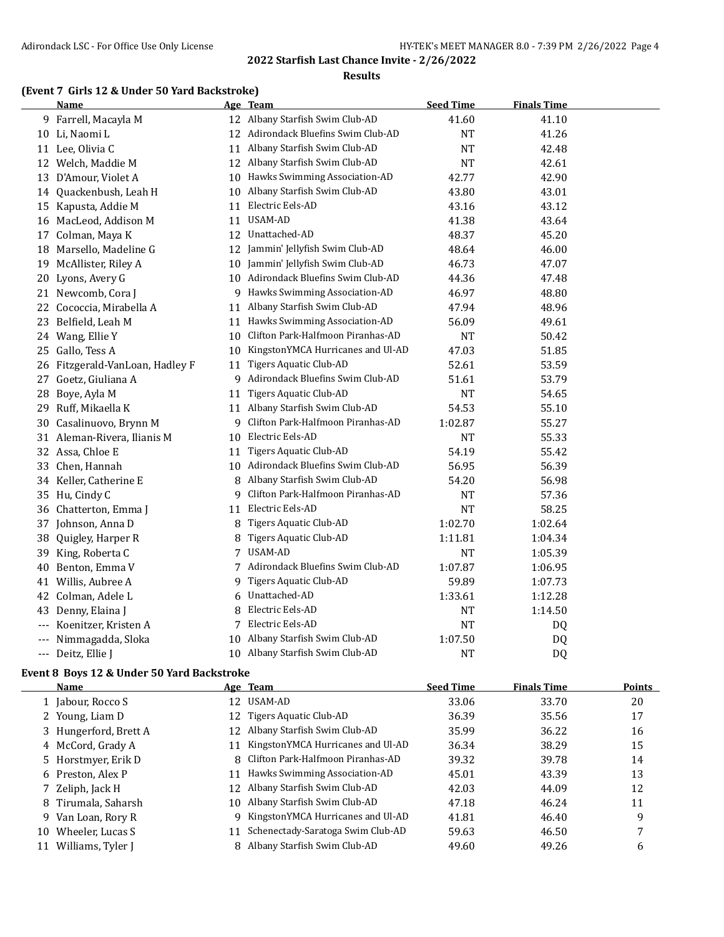#### **Results**

#### **(Event 7 Girls 12 & Under 50 Yard Backstroke)**

|       | <b>Name</b>                     |    | Age Team                            | <b>Seed Time</b> | <b>Finals Time</b> |  |
|-------|---------------------------------|----|-------------------------------------|------------------|--------------------|--|
|       | 9 Farrell, Macayla M            |    | 12 Albany Starfish Swim Club-AD     | 41.60            | 41.10              |  |
|       | 10 Li, Naomi L                  |    | 12 Adirondack Bluefins Swim Club-AD | <b>NT</b>        | 41.26              |  |
|       | 11 Lee, Olivia C                | 11 | Albany Starfish Swim Club-AD        | <b>NT</b>        | 42.48              |  |
|       | 12 Welch, Maddie M              |    | 12 Albany Starfish Swim Club-AD     | <b>NT</b>        | 42.61              |  |
|       | 13 D'Amour, Violet A            |    | 10 Hawks Swimming Association-AD    | 42.77            | 42.90              |  |
|       | 14 Quackenbush, Leah H          |    | 10 Albany Starfish Swim Club-AD     | 43.80            | 43.01              |  |
|       | 15 Kapusta, Addie M             | 11 | Electric Eels-AD                    | 43.16            | 43.12              |  |
|       | 16 MacLeod, Addison M           | 11 | USAM-AD                             | 41.38            | 43.64              |  |
|       | 17 Colman, Maya K               | 12 | Unattached-AD                       | 48.37            | 45.20              |  |
|       | 18 Marsello, Madeline G         | 12 | Jammin' Jellyfish Swim Club-AD      | 48.64            | 46.00              |  |
|       | 19 McAllister, Riley A          | 10 | Jammin' Jellyfish Swim Club-AD      | 46.73            | 47.07              |  |
|       | 20 Lyons, Avery G               |    | 10 Adirondack Bluefins Swim Club-AD | 44.36            | 47.48              |  |
|       | 21 Newcomb, Cora J              |    | 9 Hawks Swimming Association-AD     | 46.97            | 48.80              |  |
|       | 22 Cococcia, Mirabella A        |    | 11 Albany Starfish Swim Club-AD     | 47.94            | 48.96              |  |
|       | 23 Belfield, Leah M             |    | 11 Hawks Swimming Association-AD    | 56.09            | 49.61              |  |
|       | 24 Wang, Ellie Y                | 10 | Clifton Park-Halfmoon Piranhas-AD   | <b>NT</b>        | 50.42              |  |
|       | 25 Gallo, Tess A                | 10 | KingstonYMCA Hurricanes and Ul-AD   | 47.03            | 51.85              |  |
|       | 26 Fitzgerald-VanLoan, Hadley F | 11 | Tigers Aquatic Club-AD              | 52.61            | 53.59              |  |
|       | 27 Goetz, Giuliana A            |    | 9 Adirondack Bluefins Swim Club-AD  | 51.61            | 53.79              |  |
| 28    | Boye, Ayla M                    | 11 | Tigers Aquatic Club-AD              | <b>NT</b>        | 54.65              |  |
| 29.   | Ruff, Mikaella K                | 11 | Albany Starfish Swim Club-AD        | 54.53            | 55.10              |  |
| 30    | Casalinuovo, Brynn M            | 9  | Clifton Park-Halfmoon Piranhas-AD   | 1:02.87          | 55.27              |  |
|       | 31 Aleman-Rivera, Ilianis M     | 10 | Electric Eels-AD                    | NΤ               | 55.33              |  |
|       | 32 Assa, Chloe E                | 11 | <b>Tigers Aquatic Club-AD</b>       | 54.19            | 55.42              |  |
|       | 33 Chen, Hannah                 | 10 | Adirondack Bluefins Swim Club-AD    | 56.95            | 56.39              |  |
|       | 34 Keller, Catherine E          | 8  | Albany Starfish Swim Club-AD        | 54.20            | 56.98              |  |
|       | 35 Hu, Cindy C                  | 9  | Clifton Park-Halfmoon Piranhas-AD   | <b>NT</b>        | 57.36              |  |
|       | 36 Chatterton, Emma J           | 11 | Electric Eels-AD                    | <b>NT</b>        | 58.25              |  |
|       | 37 Johnson, Anna D              | 8  | Tigers Aquatic Club-AD              | 1:02.70          | 1:02.64            |  |
| 38    | Quigley, Harper R               | 8  | Tigers Aquatic Club-AD              | 1:11.81          | 1:04.34            |  |
| 39    | King, Roberta C                 | 7  | USAM-AD                             | <b>NT</b>        | 1:05.39            |  |
| 40    | Benton, Emma V                  |    | 7 Adirondack Bluefins Swim Club-AD  | 1:07.87          | 1:06.95            |  |
|       | 41 Willis, Aubree A             | 9  | Tigers Aquatic Club-AD              | 59.89            | 1:07.73            |  |
|       | 42 Colman, Adele L              | 6  | Unattached-AD                       | 1:33.61          | 1:12.28            |  |
| 43    | Denny, Elaina J                 |    | Electric Eels-AD                    | NT               | 1:14.50            |  |
| $---$ | Koenitzer, Kristen A            |    | 7 Electric Eels-AD                  | <b>NT</b>        | DQ                 |  |
|       | Nimmagadda, Sloka               |    | 10 Albany Starfish Swim Club-AD     | 1:07.50          | DQ                 |  |
| $---$ | Deitz, Ellie J                  |    | 10 Albany Starfish Swim Club-AD     | <b>NT</b>        | D <sub>Q</sub>     |  |

#### **Event 8 Boys 12 & Under 50 Yard Backstroke**

|    | <b>Name</b>           |     | Age Team                            | <b>Seed Time</b> | <b>Finals Time</b> | Points |
|----|-----------------------|-----|-------------------------------------|------------------|--------------------|--------|
|    | 1 Jabour, Rocco S     |     | 12 USAM-AD                          | 33.06            | 33.70              | 20     |
|    | 2 Young, Liam D       | 12  | Tigers Aquatic Club-AD              | 36.39            | 35.56              | 17     |
|    | 3 Hungerford, Brett A | 12  | Albany Starfish Swim Club-AD        | 35.99            | 36.22              | 16     |
|    | 4 McCord, Grady A     | 11  | KingstonYMCA Hurricanes and Ul-AD   | 36.34            | 38.29              | 15     |
|    | 5 Horstmyer, Erik D   |     | 8 Clifton Park-Halfmoon Piranhas-AD | 39.32            | 39.78              | 14     |
|    | 6 Preston, Alex P     | 11  | Hawks Swimming Association-AD       | 45.01            | 43.39              | 13     |
|    | 7 Zeliph, Jack H      | 12  | Albany Starfish Swim Club-AD        | 42.03            | 44.09              | 12     |
|    | 8 Tirumala, Saharsh   | 10. | Albany Starfish Swim Club-AD        | 47.18            | 46.24              | 11     |
| 9. | Van Loan, Rory R      | 9   | KingstonYMCA Hurricanes and Ul-AD   | 41.81            | 46.40              | 9      |
| 10 | Wheeler, Lucas S      | 11  | Schenectady-Saratoga Swim Club-AD   | 59.63            | 46.50              | 7      |
|    | 11 Williams, Tyler J  |     | Albany Starfish Swim Club-AD        | 49.60            | 49.26              | 6      |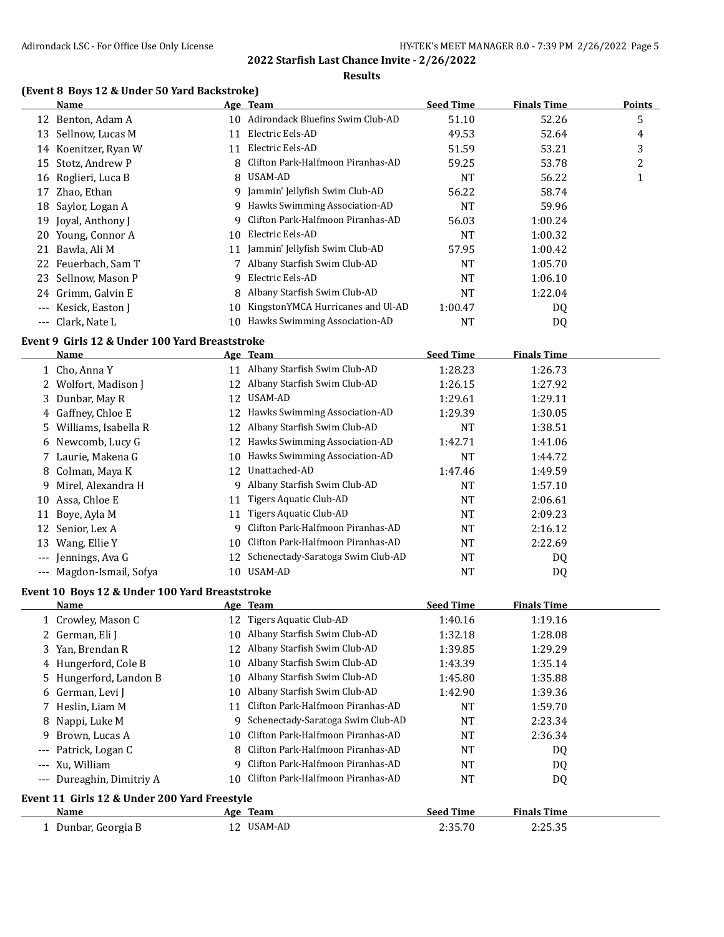#### **Results**

#### **(Event 8 Boys 12 & Under 50 Yard Backstroke)**

|    | Name                 |    | Age Team                          | <b>Seed Time</b> | <b>Finals Time</b> | <b>Points</b> |
|----|----------------------|----|-----------------------------------|------------------|--------------------|---------------|
|    | 12 Benton, Adam A    | 10 | Adirondack Bluefins Swim Club-AD  | 51.10            | 52.26              | 5             |
| 13 | Sellnow, Lucas M     |    | Electric Eels-AD                  | 49.53            | 52.64              | 4             |
| 14 | Koenitzer, Ryan W    | 11 | Electric Eels-AD                  | 51.59            | 53.21              | 3             |
| 15 | Stotz, Andrew P      |    | Clifton Park-Halfmoon Piranhas-AD | 59.25            | 53.78              | 2             |
|    | 16 Roglieri, Luca B  | 8  | USAM-AD                           | <b>NT</b>        | 56.22              | щ             |
| 17 | Zhao, Ethan          | 9  | Jammin' Jellyfish Swim Club-AD    | 56.22            | 58.74              |               |
|    | 18 Saylor, Logan A   | 9  | Hawks Swimming Association-AD     | NT               | 59.96              |               |
|    | 19 Joyal, Anthony J  | 9  | Clifton Park-Halfmoon Piranhas-AD | 56.03            | 1:00.24            |               |
|    | 20 Young, Connor A   | 10 | Electric Eels-AD                  | NT               | 1:00.32            |               |
| 21 | Bawla, Ali M         | 11 | Jammin' Jellyfish Swim Club-AD    | 57.95            | 1:00.42            |               |
|    | 22 Feuerbach, Sam T  |    | Albany Starfish Swim Club-AD      | NT               | 1:05.70            |               |
|    | 23 Sellnow, Mason P  | 9. | Electric Eels-AD                  | NT               | 1:06.10            |               |
|    | 24 Grimm, Galvin E   | 8  | Albany Starfish Swim Club-AD      | NT               | 1:22.04            |               |
|    | --- Kesick, Easton J | 10 | KingstonYMCA Hurricanes and Ul-AD | 1:00.47          | DQ                 |               |
|    | --- Clark, Nate L    | 10 | Hawks Swimming Association-AD     | NT               | DQ                 |               |

#### **Event 9 Girls 12 & Under 100 Yard Breaststroke**

|         | Name                   |    | Age Team                          | <b>Seed Time</b> | <b>Finals Time</b> |  |
|---------|------------------------|----|-----------------------------------|------------------|--------------------|--|
|         | 1 Cho, Anna Y          | 11 | Albany Starfish Swim Club-AD      | 1:28.23          | 1:26.73            |  |
|         | 2 Wolfort, Madison J   | 12 | Albany Starfish Swim Club-AD      | 1:26.15          | 1:27.92            |  |
|         | 3 Dunbar, May R        | 12 | USAM-AD                           | 1:29.61          | 1:29.11            |  |
|         | 4 Gaffney, Chloe E     | 12 | Hawks Swimming Association-AD     | 1:29.39          | 1:30.05            |  |
|         | 5 Williams, Isabella R | 12 | Albany Starfish Swim Club-AD      | <b>NT</b>        | 1:38.51            |  |
|         | 6 Newcomb, Lucy G      | 12 | Hawks Swimming Association-AD     | 1:42.71          | 1:41.06            |  |
|         | 7 Laurie, Makena G     | 10 | Hawks Swimming Association-AD     | <b>NT</b>        | 1:44.72            |  |
|         | 8 Colman, Maya K       | 12 | Unattached-AD                     | 1:47.46          | 1:49.59            |  |
| 9.      | Mirel, Alexandra H     | 9  | Albany Starfish Swim Club-AD      | <b>NT</b>        | 1:57.10            |  |
| 10      | Assa, Chloe E          | 11 | Tigers Aquatic Club-AD            | <b>NT</b>        | 2:06.61            |  |
| 11      | Bove, Ayla M           | 11 | Tigers Aquatic Club-AD            | <b>NT</b>        | 2:09.23            |  |
| 12      | Senior, Lex A          | 9  | Clifton Park-Halfmoon Piranhas-AD | <b>NT</b>        | 2:16.12            |  |
| 13      | Wang, Ellie Y          | 10 | Clifton Park-Halfmoon Piranhas-AD | <b>NT</b>        | 2:22.69            |  |
| $- - -$ | Jennings, Ava G        | 12 | Schenectady-Saratoga Swim Club-AD | <b>NT</b>        | DQ                 |  |
| $---$   | Magdon-Ismail, Sofya   | 10 | USAM-AD                           | <b>NT</b>        | DQ                 |  |

#### **Event 10 Boys 12 & Under 100 Yard Breaststroke**

|       | Name                                         |     | Age Team                             | <b>Seed Time</b> | <b>Finals Time</b> |  |
|-------|----------------------------------------------|-----|--------------------------------------|------------------|--------------------|--|
|       | 1 Crowley, Mason C                           | 12  | Tigers Aquatic Club-AD               | 1:40.16          | 1:19.16            |  |
|       | 2 German, Eli J                              | 10  | Albany Starfish Swim Club-AD         | 1:32.18          | 1:28.08            |  |
|       | 3 Yan, Brendan R                             | 12  | Albany Starfish Swim Club-AD         | 1:39.85          | 1:29.29            |  |
|       | 4 Hungerford, Cole B                         | 10  | Albany Starfish Swim Club-AD         | 1:43.39          | 1:35.14            |  |
|       | 5 Hungerford, Landon B                       | 10. | Albany Starfish Swim Club-AD         | 1:45.80          | 1:35.88            |  |
|       | 6 German, Levi J                             | 10  | Albany Starfish Swim Club-AD         | 1:42.90          | 1:39.36            |  |
|       | 7 Heslin, Liam M                             | 11  | Clifton Park-Halfmoon Piranhas-AD    | NT               | 1:59.70            |  |
|       | 8 Nappi, Luke M                              | 9   | Schenectady-Saratoga Swim Club-AD    | NT               | 2:23.34            |  |
|       | 9 Brown, Lucas A                             |     | 10 Clifton Park-Halfmoon Piranhas-AD | NT               | 2:36.34            |  |
| $---$ | Patrick, Logan C                             | 8   | Clifton Park-Halfmoon Piranhas-AD    | NT               | DQ                 |  |
|       | --- Xu, William                              | q   | Clifton Park-Halfmoon Piranhas-AD    | NT               | DQ                 |  |
| $---$ | Dureaghin, Dimitriy A                        | 10  | Clifton Park-Halfmoon Piranhas-AD    | NT               | DQ                 |  |
|       | Event 11 Girls 12 & Under 200 Yard Freestyle |     |                                      |                  |                    |  |
|       | Name                                         |     | Age Team                             | <b>Seed Time</b> | <b>Finals Time</b> |  |
|       | 1 Dunbar, Georgia B                          |     | 12 USAM-AD                           | 2:35.70          | 2:25.35            |  |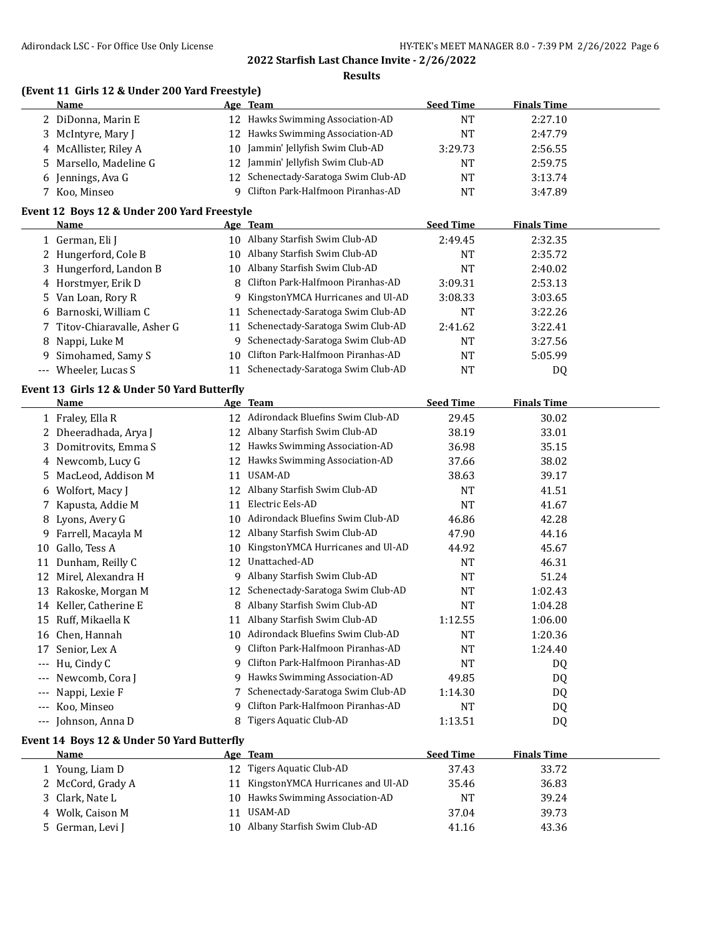**Finals Time** 

#### **2022 Starfish Last Chance Invite - 2/26/2022**

|              | <b>ARTIOLOGICAL BOG</b> TOT OTHER OSE OTHY ENCERSE |    | 2022 Starfish Last Chance Invite - 2/26/2022<br><b>Results</b> | THE LER STREET MARRINGER 0.0 |                    |
|--------------|----------------------------------------------------|----|----------------------------------------------------------------|------------------------------|--------------------|
|              | (Event 11 Girls 12 & Under 200 Yard Freestyle)     |    |                                                                |                              |                    |
|              | Name                                               |    | Age Team                                                       | <b>Seed Time</b>             | <b>Finals Time</b> |
|              | 2 DiDonna, Marin E                                 |    | 12 Hawks Swimming Association-AD                               | <b>NT</b>                    | 2:27.10            |
| 3            | McIntyre, Mary J                                   |    | 12 Hawks Swimming Association-AD                               | <b>NT</b>                    | 2:47.79            |
|              | 4 McAllister, Riley A                              |    | 10 Jammin' Jellyfish Swim Club-AD                              | 3:29.73                      | 2:56.55            |
|              | 5 Marsello, Madeline G                             |    | 12 Jammin' Jellyfish Swim Club-AD                              | <b>NT</b>                    | 2:59.75            |
|              | 6 Jennings, Ava G                                  |    | 12 Schenectady-Saratoga Swim Club-AD                           | <b>NT</b>                    | 3:13.74            |
|              | 7 Koo, Minseo                                      | 9  | Clifton Park-Halfmoon Piranhas-AD                              | <b>NT</b>                    | 3:47.89            |
|              | Event 12 Boys 12 & Under 200 Yard Freestyle        |    |                                                                |                              |                    |
|              | Name                                               |    | Age Team                                                       | <b>Seed Time</b>             | <b>Finals Time</b> |
|              | 1 German, Eli J                                    |    | 10 Albany Starfish Swim Club-AD                                | 2:49.45                      | 2:32.35            |
|              | 2 Hungerford, Cole B                               |    | 10 Albany Starfish Swim Club-AD                                | <b>NT</b>                    | 2:35.72            |
|              | 3 Hungerford, Landon B                             |    | 10 Albany Starfish Swim Club-AD                                | <b>NT</b>                    | 2:40.02            |
|              | 4 Horstmyer, Erik D                                | 8  | Clifton Park-Halfmoon Piranhas-AD                              | 3:09.31                      | 2:53.13            |
|              | 5 Van Loan, Rory R                                 |    | 9 KingstonYMCA Hurricanes and Ul-AD                            | 3:08.33                      | 3:03.65            |
|              | 6 Barnoski, William C                              |    | 11 Schenectady-Saratoga Swim Club-AD                           | <b>NT</b>                    | 3:22.26            |
| 7            | Titov-Chiaravalle, Asher G                         |    | 11 Schenectady-Saratoga Swim Club-AD                           | 2:41.62                      | 3:22.41            |
| 8            | Nappi, Luke M                                      | 9. | Schenectady-Saratoga Swim Club-AD                              | <b>NT</b>                    | 3:27.56            |
| 9            | Simohamed, Samy S                                  |    | 10 Clifton Park-Halfmoon Piranhas-AD                           | <b>NT</b>                    | 5:05.99            |
|              | --- Wheeler, Lucas S                               |    | 11 Schenectady-Saratoga Swim Club-AD                           | <b>NT</b>                    | DQ                 |
|              | Event 13 Girls 12 & Under 50 Yard Butterfly        |    |                                                                |                              |                    |
|              | Name                                               |    | Age Team                                                       | <b>Seed Time</b>             | <b>Finals Time</b> |
|              | 1 Fraley, Ella R                                   |    | 12 Adirondack Bluefins Swim Club-AD                            | 29.45                        | 30.02              |
| $\mathbf{2}$ | Dheeradhada, Arya J                                |    | 12 Albany Starfish Swim Club-AD                                | 38.19                        | 33.01              |
|              | 3 Domitrovits, Emma S                              |    | 12 Hawks Swimming Association-AD                               | 36.98                        | 35.15              |
|              | 4 Newcomb, Lucy G                                  |    | 12 Hawks Swimming Association-AD                               | 37.66                        | 38.02              |
| 5            | MacLeod, Addison M                                 |    | 11 USAM-AD                                                     | 38.63                        | 39.17              |
|              | 6 Wolfort, Macy J                                  |    | 12 Albany Starfish Swim Club-AD                                | <b>NT</b>                    | 41.51              |
| 7            | Kapusta, Addie M                                   |    | 11 Electric Eels-AD                                            | <b>NT</b>                    | 41.67              |
| 8            | Lyons, Avery G                                     | 10 | Adirondack Bluefins Swim Club-AD                               | 46.86                        | 42.28              |
| 9            | Farrell, Macayla M                                 |    | 12 Albany Starfish Swim Club-AD                                | 47.90                        | 44.16              |
| 10           | Gallo, Tess A                                      |    | 10 KingstonYMCA Hurricanes and Ul-AD                           | 44.92                        | 45.67              |
|              | 11 Dunham, Reilly C                                |    | 12 Unattached-AD                                               | <b>NT</b>                    | 46.31              |
|              | 12 Mirel, Alexandra H                              |    | 9 Albany Starfish Swim Club-AD                                 | <b>NT</b>                    | 51.24              |
|              | 13 Rakoske, Morgan M                               |    | 12 Schenectady-Saratoga Swim Club-AD                           | NT                           | 1:02.43            |
|              | 14 Keller, Catherine E                             | 8  | Albany Starfish Swim Club-AD                                   | NT                           | 1:04.28            |
| 15           | Ruff, Mikaella K                                   | 11 | Albany Starfish Swim Club-AD                                   | 1:12.55                      | 1:06.00            |
| 16           | Chen, Hannah                                       | 10 | Adirondack Bluefins Swim Club-AD                               | NT                           | 1:20.36            |
| 17           | Senior, Lex A                                      | 9  | Clifton Park-Halfmoon Piranhas-AD                              | NT                           | 1:24.40            |
| $---$        | Hu, Cindy C                                        | 9  | Clifton Park-Halfmoon Piranhas-AD                              | NT                           | DQ                 |
|              | Newcomb, Cora J                                    | 9  | Hawks Swimming Association-AD                                  | 49.85                        | DQ                 |
|              | Nappi, Lexie F                                     | 7  | Schenectady-Saratoga Swim Club-AD                              | 1:14.30                      | DQ                 |
| $--$         | Koo, Minseo                                        | 9  | Clifton Park-Halfmoon Piranhas-AD                              | NT                           | DQ                 |
| $--$         | Johnson, Anna D                                    | 8  | Tigers Aquatic Club-AD                                         | 1:13.51                      | DQ                 |

#### **Event 14 Boys 12 & Under 50 Yard Butterfly**

 $\overline{\phantom{a}}$ 

| Name              | Age Team                             | <b>Seed Time</b> | <b>Finals Time</b> |  |
|-------------------|--------------------------------------|------------------|--------------------|--|
| Young, Liam D     | Tigers Aquatic Club-AD<br>12         | 37.43            | 33.72              |  |
| 2 McCord, Grady A | 11 KingstonYMCA Hurricanes and Ul-AD | 35.46            | 36.83              |  |
| 3 Clark, Nate L   | 10 Hawks Swimming Association-AD     | NΤ               | 39.24              |  |
| 4 Wolk, Caison M  | USAM-AD<br>11                        | 37.04            | 39.73              |  |
| German, Levi J    | Albany Starfish Swim Club-AD<br>10   | 41.16            | 43.36              |  |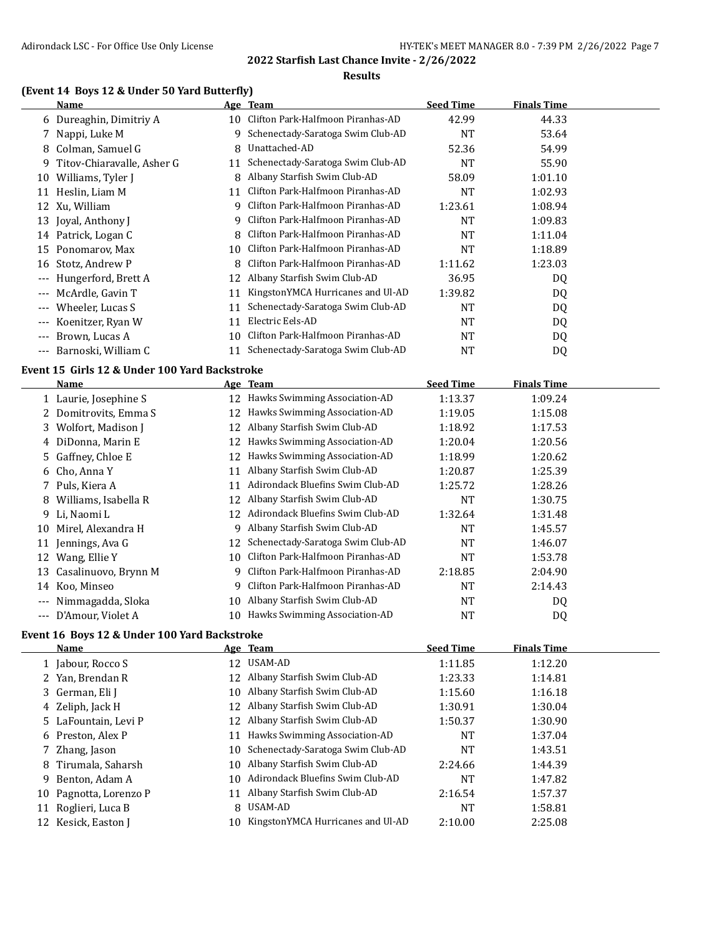#### **Results**

#### **(Event 14 Boys 12 & Under 50 Yard Butterfly)**

|                     | Name                       |    | Age Team                          | <b>Seed Time</b> | <b>Finals Time</b> |  |
|---------------------|----------------------------|----|-----------------------------------|------------------|--------------------|--|
|                     | 6 Dureaghin, Dimitriy A    | 10 | Clifton Park-Halfmoon Piranhas-AD | 42.99            | 44.33              |  |
|                     | Nappi, Luke M              | 9  | Schenectady-Saratoga Swim Club-AD | <b>NT</b>        | 53.64              |  |
| 8                   | Colman, Samuel G           | 8  | Unattached-AD                     | 52.36            | 54.99              |  |
| 9.                  | Titov-Chiaravalle, Asher G | 11 | Schenectady-Saratoga Swim Club-AD | <b>NT</b>        | 55.90              |  |
| 10                  | Williams, Tyler J          | 8  | Albany Starfish Swim Club-AD      | 58.09            | 1:01.10            |  |
| 11                  | Heslin, Liam M             | 11 | Clifton Park-Halfmoon Piranhas-AD | <b>NT</b>        | 1:02.93            |  |
|                     | 12 Xu, William             | 9  | Clifton Park-Halfmoon Piranhas-AD | 1:23.61          | 1:08.94            |  |
| 13                  | Joyal, Anthony J           | 9  | Clifton Park-Halfmoon Piranhas-AD | <b>NT</b>        | 1:09.83            |  |
|                     | 14 Patrick, Logan C        |    | Clifton Park-Halfmoon Piranhas-AD | <b>NT</b>        | 1:11.04            |  |
| 15                  | Ponomarov, Max             | 10 | Clifton Park-Halfmoon Piranhas-AD | NT               | 1:18.89            |  |
| 16                  | Stotz, Andrew P            | 8  | Clifton Park-Halfmoon Piranhas-AD | 1:11.62          | 1:23.03            |  |
| $\qquad \qquad - -$ | Hungerford, Brett A        | 12 | Albany Starfish Swim Club-AD      | 36.95            | DQ                 |  |
| $---$               | McArdle, Gavin T           | 11 | KingstonYMCA Hurricanes and Ul-AD | 1:39.82          | DQ                 |  |
| $---$               | Wheeler, Lucas S           | 11 | Schenectady-Saratoga Swim Club-AD | <b>NT</b>        | DQ                 |  |
| $---$               | Koenitzer, Ryan W          | 11 | Electric Eels-AD                  | <b>NT</b>        | DQ                 |  |
| $---$               | Brown, Lucas A             | 10 | Clifton Park-Halfmoon Piranhas-AD | <b>NT</b>        | DQ                 |  |
| $---$               | Barnoski, William C        |    | Schenectady-Saratoga Swim Club-AD | NT               | DQ                 |  |
|                     |                            |    |                                   |                  |                    |  |

#### **Event 15 Girls 12 & Under 100 Yard Backstroke**

|       | Name                  |    | Age Team                          | <b>Seed Time</b> | <b>Finals Time</b> |
|-------|-----------------------|----|-----------------------------------|------------------|--------------------|
|       | 1 Laurie, Josephine S | 12 | Hawks Swimming Association-AD     | 1:13.37          | 1:09.24            |
|       | 2 Domitrovits, Emma S | 12 | Hawks Swimming Association-AD     | 1:19.05          | 1:15.08            |
|       | 3 Wolfort, Madison J  | 12 | Albany Starfish Swim Club-AD      | 1:18.92          | 1:17.53            |
|       | 4 DiDonna, Marin E    | 12 | Hawks Swimming Association-AD     | 1:20.04          | 1:20.56            |
|       | 5 Gaffney, Chloe E    | 12 | Hawks Swimming Association-AD     | 1:18.99          | 1:20.62            |
|       | 6 Cho, Anna Y         | 11 | Albany Starfish Swim Club-AD      | 1:20.87          | 1:25.39            |
|       | 7 Puls, Kiera A       | 11 | Adirondack Bluefins Swim Club-AD  | 1:25.72          | 1:28.26            |
| 8     | Williams, Isabella R  | 12 | Albany Starfish Swim Club-AD      | NT               | 1:30.75            |
|       | 9 Li, Naomi L         | 12 | Adirondack Bluefins Swim Club-AD  | 1:32.64          | 1:31.48            |
| 10    | Mirel, Alexandra H    | 9  | Albany Starfish Swim Club-AD      | NT               | 1:45.57            |
| 11    | Jennings, Ava G       | 12 | Schenectady-Saratoga Swim Club-AD | NT               | 1:46.07            |
| 12    | Wang, Ellie Y         | 10 | Clifton Park-Halfmoon Piranhas-AD | NT               | 1:53.78            |
| 13    | Casalinuovo, Brynn M  | q  | Clifton Park-Halfmoon Piranhas-AD | 2:18.85          | 2:04.90            |
| 14    | Koo, Minseo           | q  | Clifton Park-Halfmoon Piranhas-AD | <b>NT</b>        | 2:14.43            |
| $---$ | Nimmagadda, Sloka     | 10 | Albany Starfish Swim Club-AD      | NT               | DQ                 |
| $---$ | D'Amour, Violet A     | 10 | Hawks Swimming Association-AD     | NT               | DQ                 |

#### **Event 16 Boys 12 & Under 100 Yard Backstroke**

|    | Name                 |     | Age Team                          | <b>Seed Time</b> | <b>Finals Time</b> |
|----|----------------------|-----|-----------------------------------|------------------|--------------------|
|    | 1 Jabour, Rocco S    |     | 12 USAM-AD                        | 1:11.85          | 1:12.20            |
|    | 2 Yan, Brendan R     | 12. | Albany Starfish Swim Club-AD      | 1:23.33          | 1:14.81            |
|    | 3 German, Eli J      | 10. | Albany Starfish Swim Club-AD      | 1:15.60          | 1:16.18            |
|    | 4 Zeliph, Jack H     | 12  | Albany Starfish Swim Club-AD      | 1:30.91          | 1:30.04            |
|    | 5 LaFountain, Levi P |     | 12 Albany Starfish Swim Club-AD   | 1:50.37          | 1:30.90            |
|    | 6 Preston. Alex P    | 11  | Hawks Swimming Association-AD     | NT               | 1:37.04            |
|    | 7 Zhang, Jason       | 10- | Schenectady-Saratoga Swim Club-AD | NT               | 1:43.51            |
|    | 8 Tirumala, Saharsh  | 10. | Albany Starfish Swim Club-AD      | 2:24.66          | 1:44.39            |
| 9. | Benton, Adam A       | 10. | Adirondack Bluefins Swim Club-AD  | NT               | 1:47.82            |
| 10 | Pagnotta, Lorenzo P  | 11  | Albany Starfish Swim Club-AD      | 2:16.54          | 1:57.37            |
| 11 | Roglieri, Luca B     | 8   | USAM-AD                           | NT               | 1:58.81            |
|    | Kesick, Easton J     | 10. | KingstonYMCA Hurricanes and Ul-AD | 2:10.00          | 2:25.08            |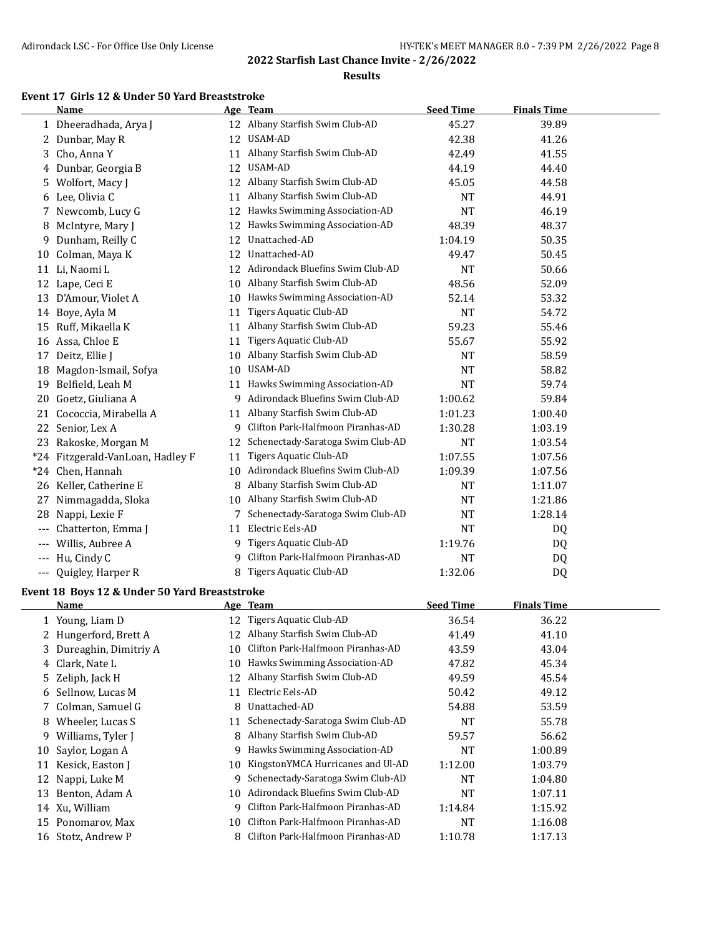#### **Results**

# **Event 17 Girls 12 & Under 50 Yard Breaststroke**

|       | <b>Name</b>                  |    | Age Team                            | <b>Seed Time</b> | <b>Finals Time</b> |  |
|-------|------------------------------|----|-------------------------------------|------------------|--------------------|--|
|       | 1 Dheeradhada, Arya J        | 12 | Albany Starfish Swim Club-AD        | 45.27            | 39.89              |  |
|       | 2 Dunbar, May R              | 12 | USAM-AD                             | 42.38            | 41.26              |  |
| 3     | Cho, Anna Y                  | 11 | Albany Starfish Swim Club-AD        | 42.49            | 41.55              |  |
| 4     | Dunbar, Georgia B            | 12 | USAM-AD                             | 44.19            | 44.40              |  |
| 5.    | Wolfort, Macy J              | 12 | Albany Starfish Swim Club-AD        | 45.05            | 44.58              |  |
| 6     | Lee, Olivia C                | 11 | Albany Starfish Swim Club-AD        | <b>NT</b>        | 44.91              |  |
| 7     | Newcomb, Lucy G              | 12 | Hawks Swimming Association-AD       | <b>NT</b>        | 46.19              |  |
| 8     | McIntyre, Mary J             | 12 | Hawks Swimming Association-AD       | 48.39            | 48.37              |  |
| 9     | Dunham, Reilly C             | 12 | Unattached-AD                       | 1:04.19          | 50.35              |  |
| 10    | Colman, Maya K               | 12 | Unattached-AD                       | 49.47            | 50.45              |  |
|       | 11 Li, Naomi L               |    | 12 Adirondack Bluefins Swim Club-AD | <b>NT</b>        | 50.66              |  |
| 12    | Lape, Ceci E                 | 10 | Albany Starfish Swim Club-AD        | 48.56            | 52.09              |  |
| 13    | D'Amour, Violet A            | 10 | Hawks Swimming Association-AD       | 52.14            | 53.32              |  |
| 14    | Boye, Ayla M                 | 11 | Tigers Aquatic Club-AD              | <b>NT</b>        | 54.72              |  |
| 15    | Ruff, Mikaella K             | 11 | Albany Starfish Swim Club-AD        | 59.23            | 55.46              |  |
| 16    | Assa, Chloe E                | 11 | Tigers Aquatic Club-AD              | 55.67            | 55.92              |  |
| 17    | Deitz, Ellie J               | 10 | Albany Starfish Swim Club-AD        | <b>NT</b>        | 58.59              |  |
| 18    | Magdon-Ismail, Sofya         | 10 | <b>USAM-AD</b>                      | <b>NT</b>        | 58.82              |  |
| 19    | Belfield, Leah M             | 11 | Hawks Swimming Association-AD       | <b>NT</b>        | 59.74              |  |
| 20    | Goetz, Giuliana A            | 9  | Adirondack Bluefins Swim Club-AD    | 1:00.62          | 59.84              |  |
| 21    | Cococcia, Mirabella A        | 11 | Albany Starfish Swim Club-AD        | 1:01.23          | 1:00.40            |  |
| 22    | Senior, Lex A                | 9  | Clifton Park-Halfmoon Piranhas-AD   | 1:30.28          | 1:03.19            |  |
| 23    | Rakoske, Morgan M            | 12 | Schenectady-Saratoga Swim Club-AD   | <b>NT</b>        | 1:03.54            |  |
| $*24$ | Fitzgerald-VanLoan, Hadley F | 11 | Tigers Aquatic Club-AD              | 1:07.55          | 1:07.56            |  |
|       | *24 Chen, Hannah             | 10 | Adirondack Bluefins Swim Club-AD    | 1:09.39          | 1:07.56            |  |
| 26    | Keller, Catherine E          | 8  | Albany Starfish Swim Club-AD        | <b>NT</b>        | 1:11.07            |  |
| 27    | Nimmagadda, Sloka            | 10 | Albany Starfish Swim Club-AD        | <b>NT</b>        | 1:21.86            |  |
| 28    | Nappi, Lexie F               | 7  | Schenectady-Saratoga Swim Club-AD   | <b>NT</b>        | 1:28.14            |  |
| $---$ | Chatterton, Emma J           | 11 | Electric Eels-AD                    | <b>NT</b>        | DQ                 |  |
|       | Willis, Aubree A             | 9  | Tigers Aquatic Club-AD              | 1:19.76          | DQ                 |  |
| $---$ | Hu, Cindy C                  | 9  | Clifton Park-Halfmoon Piranhas-AD   | NT               | DQ                 |  |
| $---$ | Quigley, Harper R            | 8  | Tigers Aquatic Club-AD              | 1:32.06          | DQ                 |  |

# **Event 18 Boys 12 & Under 50 Yard Breaststroke**

|    | Name                    |    | Age Team                          | <b>Seed Time</b> | <b>Finals Time</b> |  |
|----|-------------------------|----|-----------------------------------|------------------|--------------------|--|
|    | 1 Young, Liam D         | 12 | Tigers Aquatic Club-AD            | 36.54            | 36.22              |  |
|    | 2 Hungerford, Brett A   | 12 | Albany Starfish Swim Club-AD      | 41.49            | 41.10              |  |
|    | 3 Dureaghin, Dimitriy A | 10 | Clifton Park-Halfmoon Piranhas-AD | 43.59            | 43.04              |  |
|    | 4 Clark, Nate L         | 10 | Hawks Swimming Association-AD     | 47.82            | 45.34              |  |
|    | 5 Zeliph, Jack H        | 12 | Albany Starfish Swim Club-AD      | 49.59            | 45.54              |  |
|    | 6 Sellnow, Lucas M      | 11 | Electric Eels-AD                  | 50.42            | 49.12              |  |
|    | 7 Colman, Samuel G      | 8  | Unattached-AD                     | 54.88            | 53.59              |  |
| 8  | Wheeler, Lucas S        | 11 | Schenectady-Saratoga Swim Club-AD | <b>NT</b>        | 55.78              |  |
| 9  | Williams, Tyler J       | 8  | Albany Starfish Swim Club-AD      | 59.57            | 56.62              |  |
| 10 | Saylor, Logan A         | 9  | Hawks Swimming Association-AD     | <b>NT</b>        | 1:00.89            |  |
| 11 | Kesick, Easton J        | 10 | KingstonYMCA Hurricanes and Ul-AD | 1:12.00          | 1:03.79            |  |
| 12 | Nappi, Luke M           | 9  | Schenectady-Saratoga Swim Club-AD | NT               | 1:04.80            |  |
| 13 | Benton, Adam A          | 10 | Adirondack Bluefins Swim Club-AD  | <b>NT</b>        | 1:07.11            |  |
|    | 14 Xu, William          | 9  | Clifton Park-Halfmoon Piranhas-AD | 1:14.84          | 1:15.92            |  |
| 15 | Ponomarov, Max          | 10 | Clifton Park-Halfmoon Piranhas-AD | <b>NT</b>        | 1:16.08            |  |
| 16 | Stotz, Andrew P         | 8  | Clifton Park-Halfmoon Piranhas-AD | 1:10.78          | 1:17.13            |  |
|    |                         |    |                                   |                  |                    |  |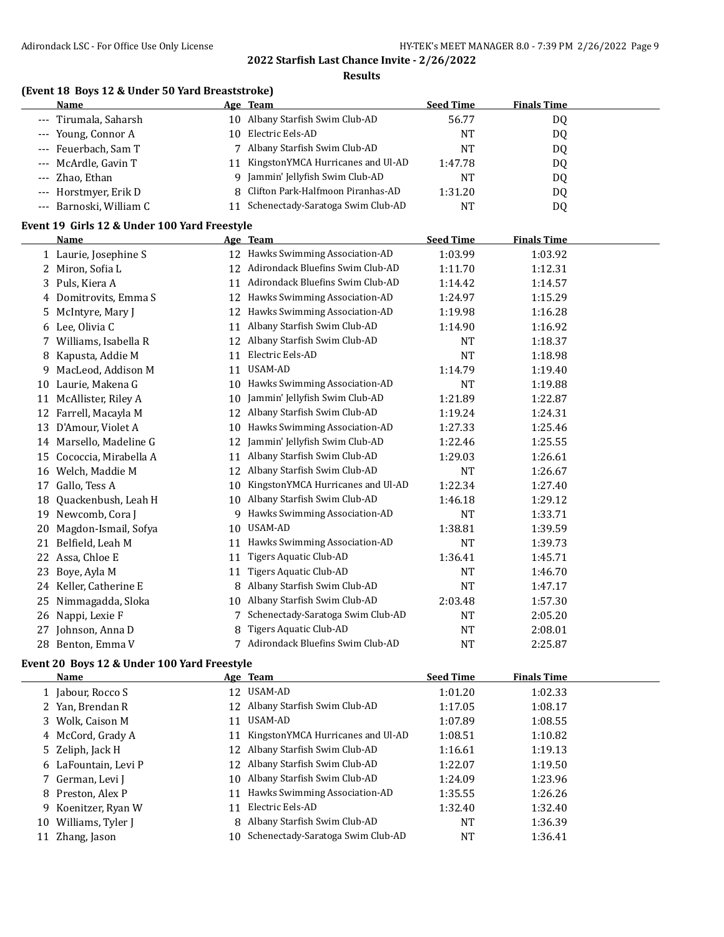**Results**

#### **(Event 18 Boys 12 & Under 50 Yard Breaststroke)**

| <b>Name</b>             |     | Age Team                            | <b>Seed Time</b> | <b>Finals Time</b> |  |
|-------------------------|-----|-------------------------------------|------------------|--------------------|--|
| --- Tirumala, Saharsh   |     | 10 Albany Starfish Swim Club-AD     | 56.77            | D <sub>0</sub>     |  |
| --- Young, Connor A     | 10. | Electric Eels-AD                    | NT               | DQ                 |  |
| --- Feuerbach, Sam T    |     | 7 Albany Starfish Swim Club-AD      | NT               | DQ                 |  |
| --- McArdle, Gavin T    | 11  | KingstonYMCA Hurricanes and Ul-AD   | 1:47.78          | DQ                 |  |
| --- Zhao, Ethan         |     | Jammin' Jellyfish Swim Club-AD<br>q | NΤ               | D <sub>0</sub>     |  |
| --- Horstmyer, Erik D   |     | 8 Clifton Park-Halfmoon Piranhas-AD | 1:31.20          | DQ                 |  |
| --- Barnoski, William C | 11  | Schenectady-Saratoga Swim Club-AD   | NT               | DQ                 |  |

#### **Event 19 Girls 12 & Under 100 Yard Freestyle**

|    | <b>Name</b>            |    | Age Team                          | <b>Seed Time</b> | <b>Finals Time</b> |  |
|----|------------------------|----|-----------------------------------|------------------|--------------------|--|
|    | 1 Laurie, Josephine S  |    | 12 Hawks Swimming Association-AD  | 1:03.99          | 1:03.92            |  |
| 2. | Miron, Sofia L         | 12 | Adirondack Bluefins Swim Club-AD  | 1:11.70          | 1:12.31            |  |
|    | 3 Puls, Kiera A        | 11 | Adirondack Bluefins Swim Club-AD  | 1:14.42          | 1:14.57            |  |
| 4  | Domitrovits, Emma S    | 12 | Hawks Swimming Association-AD     | 1:24.97          | 1:15.29            |  |
| 5  | McIntyre, Mary J       | 12 | Hawks Swimming Association-AD     | 1:19.98          | 1:16.28            |  |
| 6  | Lee, Olivia C          | 11 | Albany Starfish Swim Club-AD      | 1:14.90          | 1:16.92            |  |
| 7. | Williams, Isabella R   | 12 | Albany Starfish Swim Club-AD      | NT               | 1:18.37            |  |
| 8  | Kapusta, Addie M       | 11 | Electric Eels-AD                  | <b>NT</b>        | 1:18.98            |  |
| 9  | MacLeod, Addison M     | 11 | USAM-AD                           | 1:14.79          | 1:19.40            |  |
| 10 | Laurie, Makena G       | 10 | Hawks Swimming Association-AD     | NT               | 1:19.88            |  |
| 11 | McAllister, Riley A    | 10 | Jammin' Jellyfish Swim Club-AD    | 1:21.89          | 1:22.87            |  |
| 12 | Farrell, Macayla M     | 12 | Albany Starfish Swim Club-AD      | 1:19.24          | 1:24.31            |  |
| 13 | D'Amour, Violet A      | 10 | Hawks Swimming Association-AD     | 1:27.33          | 1:25.46            |  |
| 14 | Marsello, Madeline G   | 12 | Jammin' Jellyfish Swim Club-AD    | 1:22.46          | 1:25.55            |  |
| 15 | Cococcia, Mirabella A  | 11 | Albany Starfish Swim Club-AD      | 1:29.03          | 1:26.61            |  |
| 16 | Welch, Maddie M        | 12 | Albany Starfish Swim Club-AD      | <b>NT</b>        | 1:26.67            |  |
| 17 | Gallo, Tess A          | 10 | KingstonYMCA Hurricanes and Ul-AD | 1:22.34          | 1:27.40            |  |
| 18 | Quackenbush, Leah H    | 10 | Albany Starfish Swim Club-AD      | 1:46.18          | 1:29.12            |  |
| 19 | Newcomb, Cora J        | 9  | Hawks Swimming Association-AD     | NT               | 1:33.71            |  |
| 20 | Magdon-Ismail, Sofya   | 10 | <b>USAM-AD</b>                    | 1:38.81          | 1:39.59            |  |
| 21 | Belfield, Leah M       | 11 | Hawks Swimming Association-AD     | <b>NT</b>        | 1:39.73            |  |
| 22 | Assa, Chloe E          | 11 | Tigers Aquatic Club-AD            | 1:36.41          | 1:45.71            |  |
| 23 | Boye, Ayla M           | 11 | Tigers Aquatic Club-AD            | NT               | 1:46.70            |  |
|    | 24 Keller, Catherine E | 8  | Albany Starfish Swim Club-AD      | <b>NT</b>        | 1:47.17            |  |
| 25 | Nimmagadda, Sloka      | 10 | Albany Starfish Swim Club-AD      | 2:03.48          | 1:57.30            |  |
| 26 | Nappi, Lexie F         |    | Schenectady-Saratoga Swim Club-AD | NT               | 2:05.20            |  |
| 27 | Johnson, Anna D        | 8  | Tigers Aquatic Club-AD            | NT               | 2:08.01            |  |
| 28 | Benton, Emma V         |    | Adirondack Bluefins Swim Club-AD  | <b>NT</b>        | 2:25.87            |  |

#### **Event 20 Boys 12 & Under 100 Yard Freestyle**

 $\overline{a}$ 

| Name                 |     | Age Team                             | <b>Seed Time</b> | <b>Finals Time</b> |  |
|----------------------|-----|--------------------------------------|------------------|--------------------|--|
| 1 Jabour, Rocco S    | 12. | USAM-AD                              | 1:01.20          | 1:02.33            |  |
| 2 Yan, Brendan R     |     | 12 Albany Starfish Swim Club-AD      | 1:17.05          | 1:08.17            |  |
| 3 Wolk, Caison M     | 11  | USAM-AD                              | 1:07.89          | 1:08.55            |  |
| 4 McCord, Grady A    |     | 11 KingstonYMCA Hurricanes and Ul-AD | 1:08.51          | 1:10.82            |  |
| 5 Zeliph, Jack H     |     | 12 Albany Starfish Swim Club-AD      | 1:16.61          | 1:19.13            |  |
| 6 LaFountain, Levi P |     | 12 Albany Starfish Swim Club-AD      | 1:22.07          | 1:19.50            |  |
| 7 German, Levi J     |     | 10 Albany Starfish Swim Club-AD      | 1:24.09          | 1:23.96            |  |
| 8 Preston, Alex P    | 11  | Hawks Swimming Association-AD        | 1:35.55          | 1:26.26            |  |
| 9 Koenitzer, Ryan W  | 11  | Electric Eels-AD                     | 1:32.40          | 1:32.40            |  |
| 10 Williams, Tyler J | 8   | Albany Starfish Swim Club-AD         | NT               | 1:36.39            |  |
| 11 Zhang, Jason      |     | 10 Schenectady-Saratoga Swim Club-AD | NT               | 1:36.41            |  |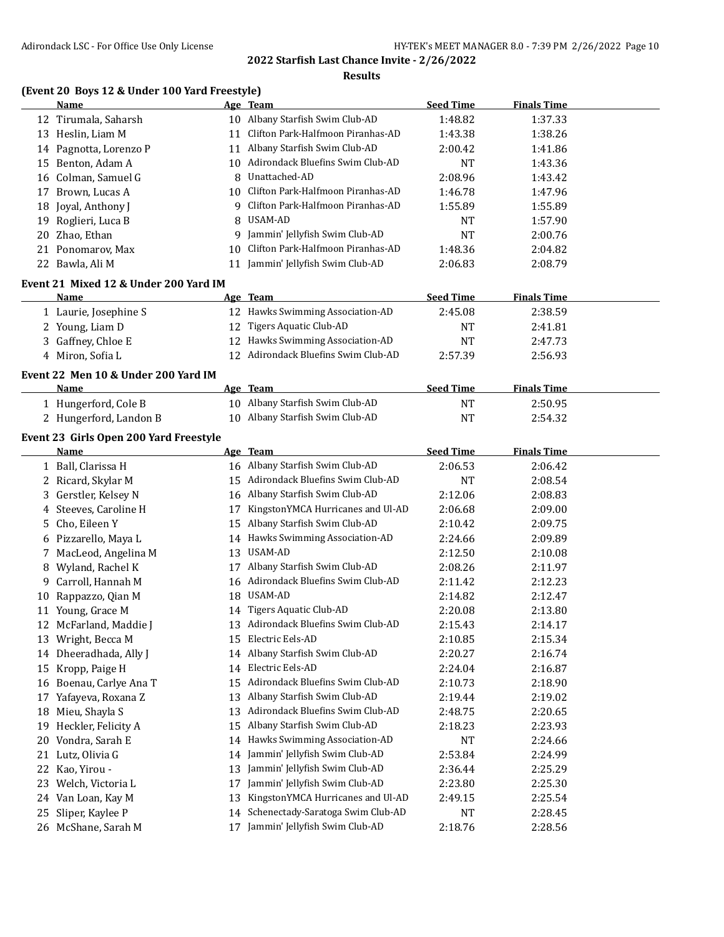#### **Results**

### **(Event 20 Boys 12 & Under 100 Yard Freestyle)**

|    | Name                   |     | Age Team                             | <b>Seed Time</b> | <b>Finals Time</b> |  |
|----|------------------------|-----|--------------------------------------|------------------|--------------------|--|
|    | 12 Tirumala, Saharsh   | 10  | Albany Starfish Swim Club-AD         | 1:48.82          | 1:37.33            |  |
| 13 | Heslin, Liam M         |     | 11 Clifton Park-Halfmoon Piranhas-AD | 1:43.38          | 1:38.26            |  |
|    | 14 Pagnotta, Lorenzo P |     | 11 Albany Starfish Swim Club-AD      | 2:00.42          | 1:41.86            |  |
|    | 15 Benton, Adam A      | 10  | Adirondack Bluefins Swim Club-AD     | <b>NT</b>        | 1:43.36            |  |
|    | 16 Colman, Samuel G    | 8.  | Unattached-AD                        | 2:08.96          | 1:43.42            |  |
|    | 17 Brown, Lucas A      | 10. | Clifton Park-Halfmoon Piranhas-AD    | 1:46.78          | 1:47.96            |  |
|    | 18 Joyal, Anthony J    | q   | Clifton Park-Halfmoon Piranhas-AD    | 1:55.89          | 1:55.89            |  |
|    | 19 Roglieri, Luca B    |     | 8 USAM-AD                            | <b>NT</b>        | 1:57.90            |  |
|    | 20 Zhao, Ethan         | q   | Jammin' Jellyfish Swim Club-AD       | NT               | 2:00.76            |  |
|    | 21 Ponomarov, Max      | 10. | Clifton Park-Halfmoon Piranhas-AD    | 1:48.36          | 2:04.82            |  |
|    | 22 Bawla, Ali M        |     | Jammin' Jellyfish Swim Club-AD       | 2:06.83          | 2:08.79            |  |

#### **Event 21 Mixed 12 & Under 200 Yard IM**

 $\overline{\phantom{a}}$ 

| Name                  | Age Team                            | Seed Time | <b>Finals Time</b> |  |
|-----------------------|-------------------------------------|-----------|--------------------|--|
| 1 Laurie, Josephine S | 12 Hawks Swimming Association-AD    | 2:45.08   | 2:38.59            |  |
| 2 Young, Liam D       | 12 Tigers Aquatic Club-AD           | NT        | 2:41.81            |  |
| 3 Gaffney, Chloe E    | 12 Hawks Swimming Association-AD    | NT        | 2:47.73            |  |
| Miron, Sofia L        | 12 Adirondack Bluefins Swim Club-AD | 2:57.39   | 2:56.93            |  |

#### **Event 22 Men 10 & Under 200 Yard IM**

| Name                   | Age Team                        | <b>Seed Time</b> | <b>Finals Time</b> |  |
|------------------------|---------------------------------|------------------|--------------------|--|
| 1 Hungerford, Cole B   | 10 Albany Starfish Swim Club-AD | NT               | 2:50.95            |  |
| 2 Hungerford, Landon B | 10 Albany Starfish Swim Club-AD | NT               | 2:54.32            |  |

#### **Event 23 Girls Open 200 Yard Freestyle**

|    | Name                 |    | Age Team                          | <b>Seed Time</b> | <b>Finals Time</b> |
|----|----------------------|----|-----------------------------------|------------------|--------------------|
|    | 1 Ball, Clarissa H   | 16 | Albany Starfish Swim Club-AD      | 2:06.53          | 2:06.42            |
|    | 2 Ricard, Skylar M   | 15 | Adirondack Bluefins Swim Club-AD  | <b>NT</b>        | 2:08.54            |
| 3. | Gerstler, Kelsey N   | 16 | Albany Starfish Swim Club-AD      | 2:12.06          | 2:08.83            |
| 4  | Steeves, Caroline H  | 17 | KingstonYMCA Hurricanes and Ul-AD | 2:06.68          | 2:09.00            |
| 5. | Cho, Eileen Y        | 15 | Albany Starfish Swim Club-AD      | 2:10.42          | 2:09.75            |
|    | 6 Pizzarello, Maya L | 14 | Hawks Swimming Association-AD     | 2:24.66          | 2:09.89            |
| 7  | MacLeod, Angelina M  | 13 | USAM-AD                           | 2:12.50          | 2:10.08            |
| 8  | Wyland, Rachel K     | 17 | Albany Starfish Swim Club-AD      | 2:08.26          | 2:11.97            |
| 9  | Carroll, Hannah M    | 16 | Adirondack Bluefins Swim Club-AD  | 2:11.42          | 2:12.23            |
| 10 | Rappazzo, Qian M     | 18 | USAM-AD                           | 2:14.82          | 2:12.47            |
| 11 | Young, Grace M       | 14 | Tigers Aquatic Club-AD            | 2:20.08          | 2:13.80            |
| 12 | McFarland, Maddie J  | 13 | Adirondack Bluefins Swim Club-AD  | 2:15.43          | 2:14.17            |
| 13 | Wright, Becca M      | 15 | Electric Eels-AD                  | 2:10.85          | 2:15.34            |
| 14 | Dheeradhada, Ally J  | 14 | Albany Starfish Swim Club-AD      | 2:20.27          | 2:16.74            |
| 15 | Kropp, Paige H       | 14 | Electric Eels-AD                  | 2:24.04          | 2:16.87            |
| 16 | Boenau, Carlye Ana T | 15 | Adirondack Bluefins Swim Club-AD  | 2:10.73          | 2:18.90            |
| 17 | Yafayeva, Roxana Z   | 13 | Albany Starfish Swim Club-AD      | 2:19.44          | 2:19.02            |
| 18 | Mieu, Shayla S       | 13 | Adirondack Bluefins Swim Club-AD  | 2:48.75          | 2:20.65            |
| 19 | Heckler, Felicity A  | 15 | Albany Starfish Swim Club-AD      | 2:18.23          | 2:23.93            |
| 20 | Vondra, Sarah E      | 14 | Hawks Swimming Association-AD     | <b>NT</b>        | 2:24.66            |
| 21 | Lutz, Olivia G       | 14 | Jammin' Jellyfish Swim Club-AD    | 2:53.84          | 2:24.99            |
| 22 | Kao, Yirou -         | 13 | Jammin' Jellyfish Swim Club-AD    | 2:36.44          | 2:25.29            |
| 23 | Welch, Victoria L    | 17 | Jammin' Jellyfish Swim Club-AD    | 2:23.80          | 2:25.30            |
| 24 | Van Loan, Kay M      | 13 | KingstonYMCA Hurricanes and Ul-AD | 2:49.15          | 2:25.54            |
| 25 | Sliper, Kaylee P     | 14 | Schenectady-Saratoga Swim Club-AD | NT               | 2:28.45            |
|    | 26 McShane, Sarah M  | 17 | Jammin' Jellyfish Swim Club-AD    | 2:18.76          | 2:28.56            |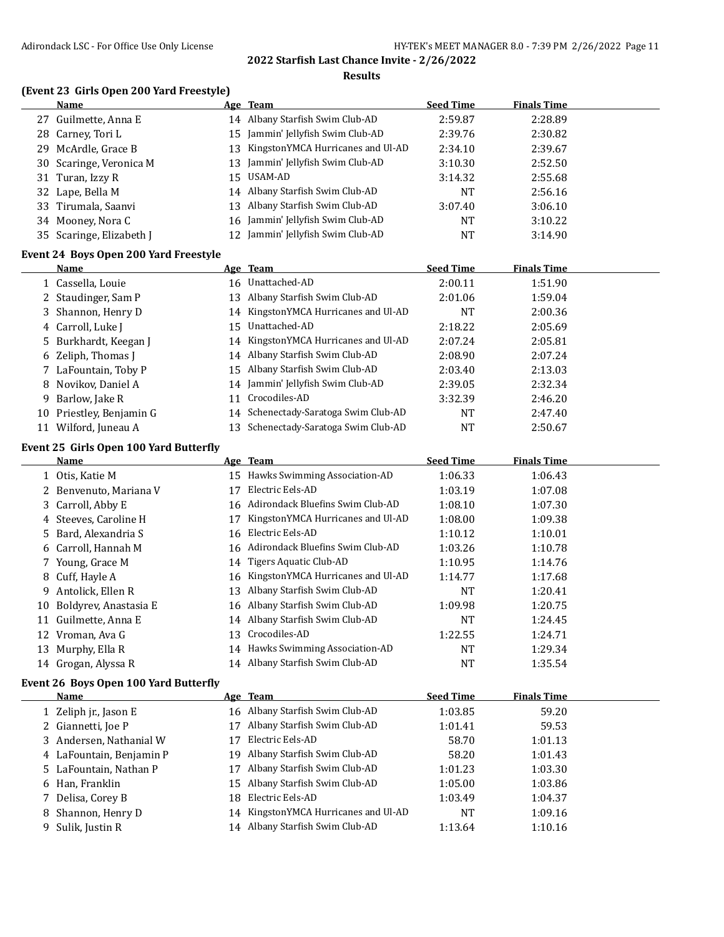#### **Results**

# **(Event 23 Girls Open 200 Yard Freestyle)**

|    | Name                                                 |    | Age Team                             | <b>Seed Time</b> | <b>Finals Time</b> |  |
|----|------------------------------------------------------|----|--------------------------------------|------------------|--------------------|--|
|    | 27 Guilmette, Anna E                                 |    | 14 Albany Starfish Swim Club-AD      | 2:59.87          | 2:28.89            |  |
|    | 28 Carney, Tori L                                    | 15 | Jammin' Jellyfish Swim Club-AD       | 2:39.76          | 2:30.82            |  |
|    | 29 McArdle, Grace B                                  | 13 | KingstonYMCA Hurricanes and Ul-AD    | 2:34.10          | 2:39.67            |  |
| 30 | Scaringe, Veronica M                                 | 13 | Jammin' Jellyfish Swim Club-AD       | 3:10.30          | 2:52.50            |  |
|    | 31 Turan, Izzy R                                     | 15 | USAM-AD                              | 3:14.32          | 2:55.68            |  |
|    | 32 Lape, Bella M                                     |    | 14 Albany Starfish Swim Club-AD      | <b>NT</b>        | 2:56.16            |  |
|    | 33 Tirumala, Saanvi                                  | 13 | Albany Starfish Swim Club-AD         | 3:07.40          | 3:06.10            |  |
|    | 34 Mooney, Nora C                                    | 16 | Jammin' Jellyfish Swim Club-AD       | <b>NT</b>        | 3:10.22            |  |
|    | 35 Scaringe, Elizabeth J                             | 12 | Jammin' Jellyfish Swim Club-AD       | NT               | 3:14.90            |  |
|    |                                                      |    |                                      |                  |                    |  |
|    | Event 24 Boys Open 200 Yard Freestyle<br><b>Name</b> |    |                                      | <b>Seed Time</b> | <b>Finals Time</b> |  |
|    |                                                      |    | Age Team                             |                  |                    |  |
|    | 1 Cassella, Louie                                    |    | 16 Unattached-AD                     | 2:00.11          | 1:51.90            |  |
|    | 2 Staudinger, Sam P                                  |    | 13 Albany Starfish Swim Club-AD      | 2:01.06          | 1:59.04            |  |
|    | 3 Shannon, Henry D                                   |    | 14 KingstonYMCA Hurricanes and Ul-AD | <b>NT</b>        | 2:00.36            |  |
|    | 4 Carroll, Luke J                                    | 15 | Unattached-AD                        | 2:18.22          | 2:05.69            |  |
| 5  | Burkhardt, Keegan J                                  | 14 | KingstonYMCA Hurricanes and Ul-AD    | 2:07.24          | 2:05.81            |  |
|    | 6 Zeliph, Thomas J                                   |    | 14 Albany Starfish Swim Club-AD      | 2:08.90          | 2:07.24            |  |
|    | 7 LaFountain, Toby P                                 | 15 | Albany Starfish Swim Club-AD         | 2:03.40          | 2:13.03            |  |
|    | 8 Novikov, Daniel A                                  |    | 14 Jammin' Jellyfish Swim Club-AD    | 2:39.05          | 2:32.34            |  |
| 9  | Barlow, Jake R                                       | 11 | Crocodiles-AD                        | 3:32.39          | 2:46.20            |  |
|    | 10 Priestley, Benjamin G                             |    | 14 Schenectady-Saratoga Swim Club-AD | NT               | 2:47.40            |  |
|    | 11 Wilford, Juneau A                                 |    | 13 Schenectady-Saratoga Swim Club-AD | <b>NT</b>        | 2:50.67            |  |
|    | Event 25 Girls Open 100 Yard Butterfly               |    |                                      |                  |                    |  |
|    | <b>Name</b>                                          |    | Age Team                             | <b>Seed Time</b> | <b>Finals Time</b> |  |
|    | 1 Otis, Katie M                                      |    | 15 Hawks Swimming Association-AD     | 1:06.33          | 1:06.43            |  |
|    | 2 Benvenuto, Mariana V                               | 17 | Electric Eels-AD                     | 1:03.19          | 1:07.08            |  |
|    | 3 Carroll, Abby E                                    |    | 16 Adirondack Bluefins Swim Club-AD  | 1:08.10          | 1:07.30            |  |
|    | 4 Steeves, Caroline H                                | 17 | KingstonYMCA Hurricanes and Ul-AD    | 1:08.00          | 1:09.38            |  |
|    | 5 Bard, Alexandria S                                 | 16 | Electric Eels-AD                     | 1:10.12          | 1:10.01            |  |
|    | 6 Carroll, Hannah M                                  | 16 | Adirondack Bluefins Swim Club-AD     | 1:03.26          | 1:10.78            |  |
|    | 7 Young, Grace M                                     | 14 | Tigers Aquatic Club-AD               | 1:10.95          | 1:14.76            |  |
| 8  | Cuff, Hayle A                                        | 16 | KingstonYMCA Hurricanes and Ul-AD    | 1:14.77          | 1:17.68            |  |
|    | 9 Antolick, Ellen R                                  | 13 | Albany Starfish Swim Club-AD         | NT               | 1:20.41            |  |
|    | 10 Boldyrev, Anastasia E                             |    | 16 Albany Starfish Swim Club-AD      | 1:09.98          | 1:20.75            |  |
|    | 11 Guilmette, Anna E                                 |    | 14 Albany Starfish Swim Club-AD      | <b>NT</b>        | 1:24.45            |  |
|    | 12 Vroman, Ava G                                     |    | 13 Crocodiles-AD                     | 1:22.55          | 1:24.71            |  |
|    | 13 Murphy, Ella R                                    |    | 14 Hawks Swimming Association-AD     | <b>NT</b>        | 1:29.34            |  |
|    | 14 Grogan, Alyssa R                                  |    | 14 Albany Starfish Swim Club-AD      | <b>NT</b>        | 1:35.54            |  |
|    |                                                      |    |                                      |                  |                    |  |
|    | Event 26 Boys Open 100 Yard Butterfly                |    |                                      |                  |                    |  |
|    | <b>Name</b>                                          |    | Age Team                             | <b>Seed Time</b> | <b>Finals Time</b> |  |
|    | 1 Zeliph jr., Jason E                                |    | 16 Albany Starfish Swim Club-AD      | 1:03.85          | 59.20              |  |
|    | 2 Giannetti, Joe P                                   | 17 | Albany Starfish Swim Club-AD         | 1:01.41          | 59.53              |  |
|    | 3 Andersen, Nathanial W                              | 17 | Electric Eels-AD                     | 58.70            | 1:01.13            |  |
|    | 4 LaFountain, Benjamin P                             | 19 | Albany Starfish Swim Club-AD         | 58.20            | 1:01.43            |  |
|    | 5 LaFountain, Nathan P                               | 17 | Albany Starfish Swim Club-AD         | 1:01.23          | 1:03.30            |  |
|    | 6 Han, Franklin                                      | 15 | Albany Starfish Swim Club-AD         | 1:05.00          | 1:03.86            |  |
|    | Delisa, Corey B                                      | 18 | Electric Eels-AD                     | 1:03.49          | 1:04.37            |  |
|    | 8 Shannon, Henry D                                   |    | 14 KingstonYMCA Hurricanes and Ul-AD | NT               | 1:09.16            |  |

9 Sulik, Justin R 14 Albany Starfish Swim Club-AD 1:13.64 1:10.16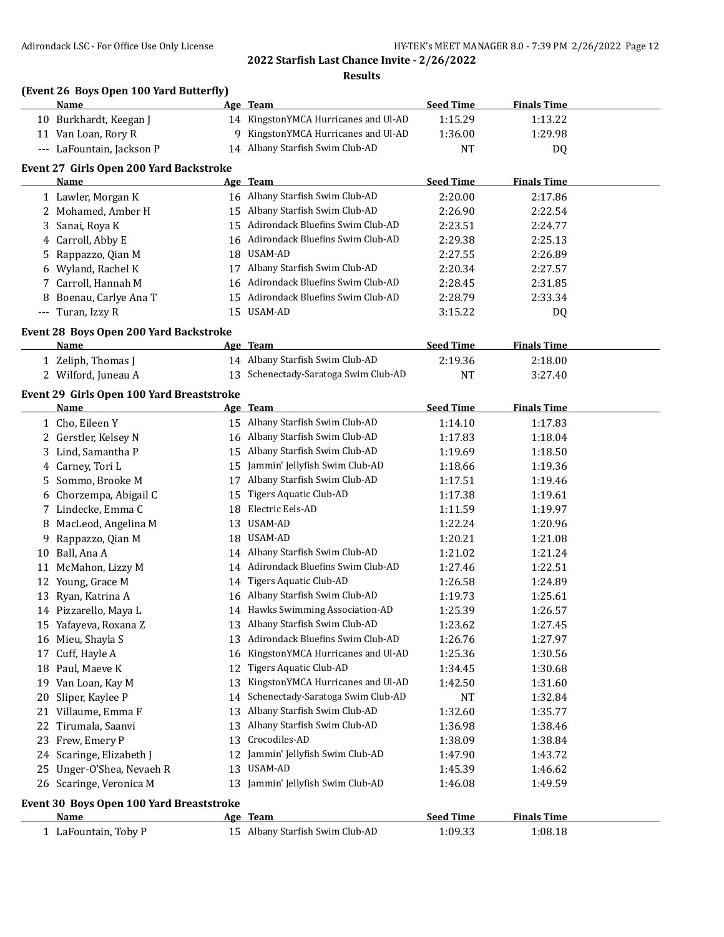### **2022 Starfish Last Chance Invite - 2/26/2022 Results**

### **(Event 26 Boys Open 100 Yard Butterfly)**

|    | Name                                            |     | Age Team                             | <b>Seed Time</b>   | <b>Finals Time</b> |  |
|----|-------------------------------------------------|-----|--------------------------------------|--------------------|--------------------|--|
|    | 10 Burkhardt, Keegan J                          |     | 14 KingstonYMCA Hurricanes and Ul-AD | 1:15.29            | 1:13.22            |  |
|    | 11 Van Loan, Rory R                             | 9   | KingstonYMCA Hurricanes and Ul-AD    | 1:36.00            | 1:29.98            |  |
|    | --- LaFountain, Jackson P                       |     | 14 Albany Starfish Swim Club-AD      | NT                 | DQ                 |  |
|    |                                                 |     |                                      |                    |                    |  |
|    | Event 27 Girls Open 200 Yard Backstroke<br>Name |     | Age Team                             | <b>Seed Time</b>   | <b>Finals Time</b> |  |
|    |                                                 |     | 16 Albany Starfish Swim Club-AD      | 2:20.00            | 2:17.86            |  |
|    | 1 Lawler, Morgan K                              |     | 15 Albany Starfish Swim Club-AD      |                    |                    |  |
|    | 2 Mohamed, Amber H                              |     | 15 Adirondack Bluefins Swim Club-AD  | 2:26.90            | 2:22.54            |  |
|    | 3 Sanai, Roya K                                 |     | 16 Adirondack Bluefins Swim Club-AD  | 2:23.51<br>2:29.38 | 2:24.77            |  |
|    | 4 Carroll, Abby E                               |     | 18 USAM-AD                           |                    | 2:25.13            |  |
| 5. | Rappazzo, Qian M                                |     |                                      | 2:27.55            | 2:26.89            |  |
| 6  | Wyland, Rachel K                                |     | 17 Albany Starfish Swim Club-AD      | 2:20.34            | 2:27.57            |  |
| 7  | Carroll, Hannah M                               |     | 16 Adirondack Bluefins Swim Club-AD  | 2:28.45            | 2:31.85            |  |
| 8  | Boenau, Carlye Ana T                            |     | 15 Adirondack Bluefins Swim Club-AD  | 2:28.79            | 2:33.34            |  |
|    | --- Turan, Izzy R                               |     | 15 USAM-AD                           | 3:15.22            | DQ                 |  |
|    | Event 28 Boys Open 200 Yard Backstroke          |     |                                      |                    |                    |  |
|    | Name                                            |     | Age Team                             | <b>Seed Time</b>   | <b>Finals Time</b> |  |
|    | 1 Zeliph, Thomas J                              |     | 14 Albany Starfish Swim Club-AD      | 2:19.36            | 2:18.00            |  |
|    | 2 Wilford, Juneau A                             |     | 13 Schenectady-Saratoga Swim Club-AD | <b>NT</b>          | 3:27.40            |  |
|    | Event 29 Girls Open 100 Yard Breaststroke       |     |                                      |                    |                    |  |
|    | Name                                            |     | Age Team                             | <b>Seed Time</b>   | <b>Finals Time</b> |  |
|    | 1 Cho, Eileen Y                                 |     | 15 Albany Starfish Swim Club-AD      | 1:14.10            | 1:17.83            |  |
|    | 2 Gerstler, Kelsey N                            |     | 16 Albany Starfish Swim Club-AD      | 1:17.83            | 1:18.04            |  |
|    | 3 Lind, Samantha P                              |     | 15 Albany Starfish Swim Club-AD      | 1:19.69            | 1:18.50            |  |
|    | 4 Carney, Tori L                                | 15  | Jammin' Jellyfish Swim Club-AD       | 1:18.66            | 1:19.36            |  |
| 5. | Sommo, Brooke M                                 |     | 17 Albany Starfish Swim Club-AD      | 1:17.51            | 1:19.46            |  |
| 6  | Chorzempa, Abigail C                            | 15  | Tigers Aquatic Club-AD               | 1:17.38            | 1:19.61            |  |
|    | 7 Lindecke, Emma C                              | 18  | Electric Eels-AD                     | 1:11.59            | 1:19.97            |  |
| 8  | MacLeod, Angelina M                             | 13  | USAM-AD                              | 1:22.24            | 1:20.96            |  |
| 9  | Rappazzo, Qian M                                |     | 18 USAM-AD                           | 1:20.21            | 1:21.08            |  |
| 10 | Ball, Ana A                                     |     | 14 Albany Starfish Swim Club-AD      | 1:21.02            | 1:21.24            |  |
| 11 | McMahon, Lizzy M                                |     | 14 Adirondack Bluefins Swim Club-AD  | 1:27.46            | 1:22.51            |  |
|    | 12 Young, Grace M                               | 14  | Tigers Aquatic Club-AD               | 1:26.58            | 1:24.89            |  |
| 13 | Ryan, Katrina A                                 |     | 16 Albany Starfish Swim Club-AD      | 1:19.73            | 1:25.61            |  |
|    | 14 Pizzarello, Maya L                           |     | 14 Hawks Swimming Association-AD     | 1:25.39            | 1:26.57            |  |
|    | 15 Yafayeva, Roxana Z                           |     | 13 Albany Starfish Swim Club-AD      | 1:23.62            | 1:27.45            |  |
|    | 16 Mieu, Shayla S                               | 13. | Adirondack Bluefins Swim Club-AD     | 1:26.76            | 1:27.97            |  |
|    | 17 Cuff, Hayle A                                | 16  | KingstonYMCA Hurricanes and Ul-AD    | 1:25.36            | 1:30.56            |  |
|    | 18 Paul, Maeve K                                | 12  | <b>Tigers Aquatic Club-AD</b>        | 1:34.45            | 1:30.68            |  |
| 19 | Van Loan, Kay M                                 | 13  | KingstonYMCA Hurricanes and Ul-AD    | 1:42.50            | 1:31.60            |  |
| 20 | Sliper, Kaylee P                                | 14  | Schenectady-Saratoga Swim Club-AD    | <b>NT</b>          | 1:32.84            |  |
| 21 | Villaume, Emma F                                | 13  | Albany Starfish Swim Club-AD         | 1:32.60            | 1:35.77            |  |
| 22 | Tirumala, Saanvi                                | 13  | Albany Starfish Swim Club-AD         | 1:36.98            | 1:38.46            |  |
|    | 23 Frew, Emery P                                | 13  | Crocodiles-AD                        | 1:38.09            | 1:38.84            |  |
| 24 | Scaringe, Elizabeth J                           | 12  | Jammin' Jellyfish Swim Club-AD       | 1:47.90            | 1:43.72            |  |
| 25 | Unger-O'Shea, Nevaeh R                          | 13  | USAM-AD                              | 1:45.39            | 1:46.62            |  |
|    | 26 Scaringe, Veronica M                         | 13  | Jammin' Jellyfish Swim Club-AD       | 1:46.08            | 1:49.59            |  |
|    |                                                 |     |                                      |                    |                    |  |
|    | Event 30 Boys Open 100 Yard Breaststroke        |     |                                      |                    |                    |  |
|    | <u>Name</u>                                     |     | Age Team                             | <b>Seed Time</b>   | <b>Finals Time</b> |  |
|    | 1 LaFountain, Toby P                            |     | 15 Albany Starfish Swim Club-AD      | 1:09.33            | 1:08.18            |  |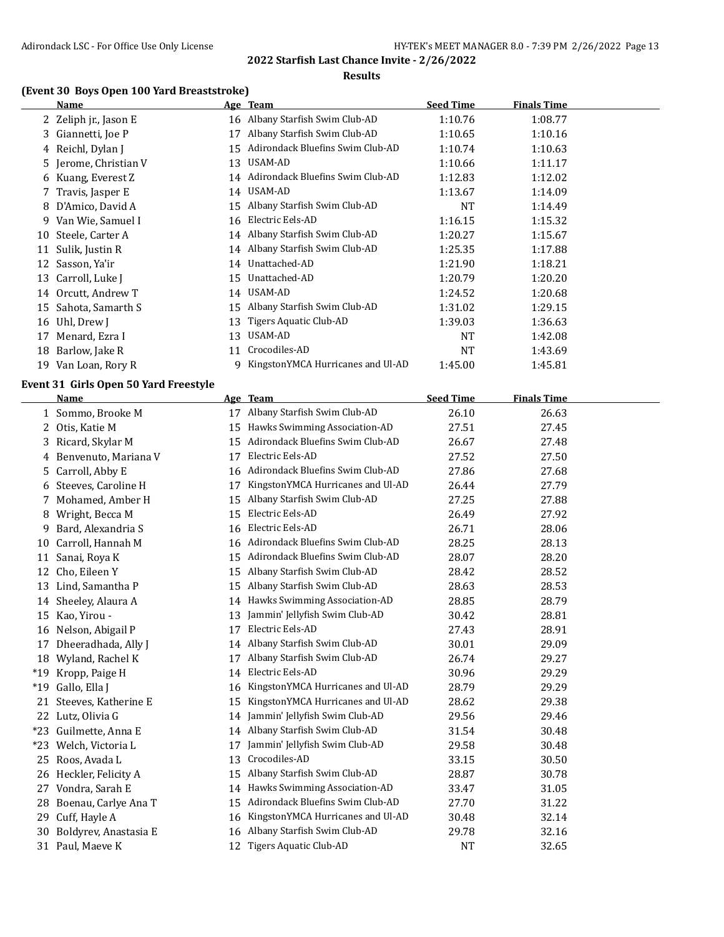#### **Results**

## **(Event 30 Boys Open 100 Yard Breaststroke)**

|    | <b>Name</b>                           |    | Age Team                            | <b>Seed Time</b> | <b>Finals Time</b> |
|----|---------------------------------------|----|-------------------------------------|------------------|--------------------|
|    | 2 Zeliph jr., Jason E                 |    | 16 Albany Starfish Swim Club-AD     | 1:10.76          | 1:08.77            |
|    | 3 Giannetti, Joe P                    | 17 | Albany Starfish Swim Club-AD        | 1:10.65          | 1:10.16            |
| 4  | Reichl, Dylan J                       | 15 | Adirondack Bluefins Swim Club-AD    | 1:10.74          | 1:10.63            |
| 5  | Jerome, Christian V                   | 13 | USAM-AD                             | 1:10.66          | 1:11.17            |
| 6  | Kuang, Everest Z                      | 14 | Adirondack Bluefins Swim Club-AD    | 1:12.83          | 1:12.02            |
| 7  | Travis, Jasper E                      | 14 | USAM-AD                             | 1:13.67          | 1:14.09            |
| 8  | D'Amico, David A                      | 15 | Albany Starfish Swim Club-AD        | NT               | 1:14.49            |
| 9. | Van Wie, Samuel I                     | 16 | Electric Eels-AD                    | 1:16.15          | 1:15.32            |
| 10 | Steele, Carter A                      | 14 | Albany Starfish Swim Club-AD        | 1:20.27          | 1:15.67            |
|    | 11 Sulik, Justin R                    | 14 | Albany Starfish Swim Club-AD        | 1:25.35          | 1:17.88            |
| 12 | Sasson, Ya'ir                         | 14 | Unattached-AD                       | 1:21.90          | 1:18.21            |
| 13 | Carroll, Luke J                       | 15 | Unattached-AD                       | 1:20.79          | 1:20.20            |
|    | 14 Orcutt, Andrew T                   |    | 14 USAM-AD                          | 1:24.52          | 1:20.68            |
| 15 | Sahota, Samarth S                     | 15 | Albany Starfish Swim Club-AD        | 1:31.02          | 1:29.15            |
| 16 | Uhl, Drew J                           | 13 | Tigers Aquatic Club-AD              | 1:39.03          | 1:36.63            |
| 17 | Menard, Ezra I                        | 13 | USAM-AD                             | NT               | 1:42.08            |
|    | 18 Barlow, Jake R                     |    | 11 Crocodiles-AD                    | NT               | 1:43.69            |
|    | 19 Van Loan, Rory R                   | 9  | KingstonYMCA Hurricanes and Ul-AD   | 1:45.00          | 1:45.81            |
|    | Event 31 Girls Open 50 Yard Freestyle |    |                                     |                  |                    |
|    | <b>Name</b>                           |    | Age Team                            | <b>Seed Time</b> | <b>Finals Time</b> |
|    | 1 Sommo, Brooke M                     |    | 17 Albany Starfish Swim Club-AD     | 26.10            | 26.63              |
| 2  | Otis, Katie M                         | 15 | Hawks Swimming Association-AD       | 27.51            | 27.45              |
| 3  | Ricard, Skylar M                      | 15 | Adirondack Bluefins Swim Club-AD    | 26.67            | 27.48              |
| 4  | Benvenuto, Mariana V                  | 17 | Electric Eels-AD                    | 27.52            | 27.50              |
| 5  | Carroll, Abby E                       |    | 16 Adirondack Bluefins Swim Club-AD | 27.86            | 27.68              |
| 6  | Steeves, Caroline H                   | 17 | KingstonYMCA Hurricanes and Ul-AD   | 26.44            | 27.79              |
| 7  | Mohamed, Amber H                      |    | 15 Albany Starfish Swim Club-AD     | 27.25            | 27.88              |
| 8  | Wright, Becca M                       | 15 | Electric Eels-AD                    | 26.49            | 27.92              |
| 9  | Bard, Alexandria S                    | 16 | Electric Eels-AD                    | 26.71            | 28.06              |
| 10 | Carroll, Hannah M                     | 16 | Adirondack Bluefins Swim Club-AD    | 28.25            | 28.13              |
| 11 | Sanai, Roya K                         |    | 15 Adirondack Bluefins Swim Club-AD | 28.07            | 28.20              |
| 12 | Cho, Eileen Y                         | 15 | Albany Starfish Swim Club-AD        | 28.42            | 28.52              |
| 13 | Lind, Samantha P                      | 15 | Albany Starfish Swim Club-AD        | 28.63            | 28.53              |
|    | 14 Sheeley, Alaura A                  |    | 14 Hawks Swimming Association-AD    | 28.85            | 28.79              |
|    | 15 Kao, Yirou -                       |    | 13 Jammin' Jellyfish Swim Club-AD   | 30.42            | 28.81              |
|    | 16 Nelson, Abigail P                  |    | 17 Electric Eels-AD                 | 27.43            | 28.91              |
|    | 17 Dheeradhada, Ally J                |    | 14 Albany Starfish Swim Club-AD     | 30.01            | 29.09              |
|    | 18 Wyland, Rachel K                   |    | 17 Albany Starfish Swim Club-AD     | 26.74            | 29.27              |
|    | *19 Kropp, Paige H                    | 14 | Electric Eels-AD                    | 30.96            | 29.29              |
|    | *19 Gallo, Ella J                     | 16 | KingstonYMCA Hurricanes and Ul-AD   | 28.79            | 29.29              |
| 21 | Steeves, Katherine E                  | 15 | KingstonYMCA Hurricanes and Ul-AD   | 28.62            | 29.38              |
|    | 22 Lutz, Olivia G                     | 14 | Jammin' Jellyfish Swim Club-AD      | 29.56            | 29.46              |
|    | *23 Guilmette, Anna E                 | 14 | Albany Starfish Swim Club-AD        | 31.54            | 30.48              |
|    | *23 Welch, Victoria L                 | 17 | Jammin' Jellyfish Swim Club-AD      | 29.58            | 30.48              |
| 25 | Roos, Avada L                         | 13 | Crocodiles-AD                       | 33.15            | 30.50              |
| 26 | Heckler, Felicity A                   | 15 | Albany Starfish Swim Club-AD        | 28.87            | 30.78              |
| 27 | Vondra, Sarah E                       | 14 | Hawks Swimming Association-AD       | 33.47            | 31.05              |
| 28 | Boenau, Carlye Ana T                  | 15 | Adirondack Bluefins Swim Club-AD    | 27.70            | 31.22              |
| 29 | Cuff, Hayle A                         | 16 | KingstonYMCA Hurricanes and Ul-AD   | 30.48            | 32.14              |
| 30 | Boldyrev, Anastasia E                 | 16 | Albany Starfish Swim Club-AD        | 29.78            | 32.16              |
|    | 31 Paul, Maeve K                      |    | 12 Tigers Aquatic Club-AD           | <b>NT</b>        | 32.65              |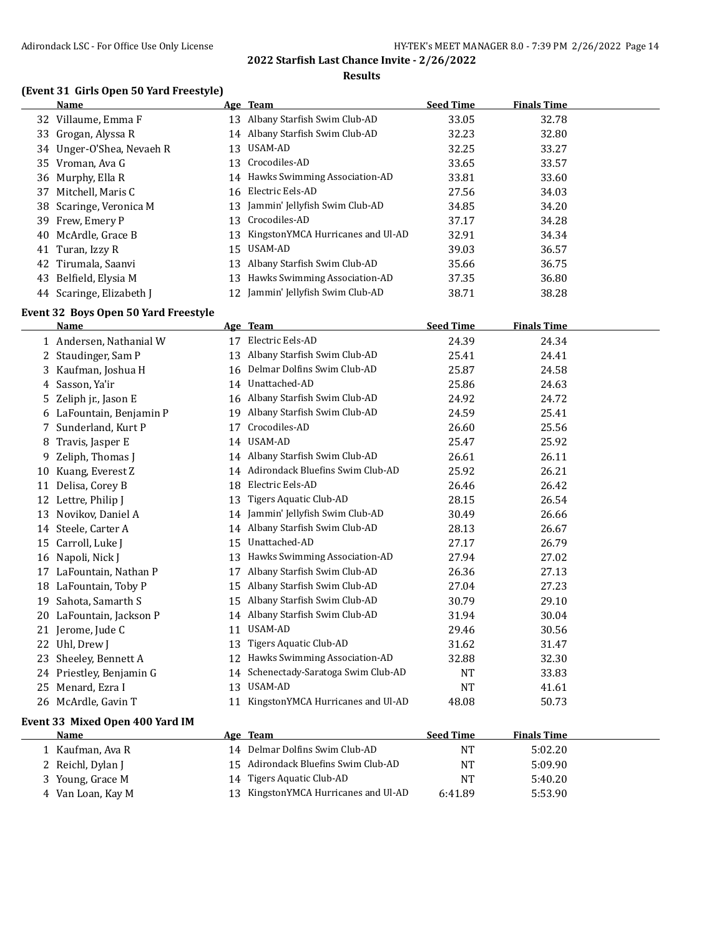#### **Results**

#### **(Event 31 Girls Open 50 Yard Freestyle)**

| <b>Name</b>       |                                                                                                                                                                                                                                                                          |                              | <b>Seed Time</b>                                                                                                                                                                                                                                                                                                                                                          | <b>Finals Time</b> |  |
|-------------------|--------------------------------------------------------------------------------------------------------------------------------------------------------------------------------------------------------------------------------------------------------------------------|------------------------------|---------------------------------------------------------------------------------------------------------------------------------------------------------------------------------------------------------------------------------------------------------------------------------------------------------------------------------------------------------------------------|--------------------|--|
|                   |                                                                                                                                                                                                                                                                          |                              | 33.05                                                                                                                                                                                                                                                                                                                                                                     | 32.78              |  |
|                   |                                                                                                                                                                                                                                                                          |                              | 32.23                                                                                                                                                                                                                                                                                                                                                                     | 32.80              |  |
|                   |                                                                                                                                                                                                                                                                          |                              | 32.25                                                                                                                                                                                                                                                                                                                                                                     | 33.27              |  |
|                   |                                                                                                                                                                                                                                                                          |                              | 33.65                                                                                                                                                                                                                                                                                                                                                                     | 33.57              |  |
|                   |                                                                                                                                                                                                                                                                          |                              | 33.81                                                                                                                                                                                                                                                                                                                                                                     | 33.60              |  |
| Mitchell, Maris C |                                                                                                                                                                                                                                                                          |                              | 27.56                                                                                                                                                                                                                                                                                                                                                                     | 34.03              |  |
|                   |                                                                                                                                                                                                                                                                          |                              | 34.85                                                                                                                                                                                                                                                                                                                                                                     | 34.20              |  |
|                   |                                                                                                                                                                                                                                                                          |                              | 37.17                                                                                                                                                                                                                                                                                                                                                                     | 34.28              |  |
|                   |                                                                                                                                                                                                                                                                          |                              | 32.91                                                                                                                                                                                                                                                                                                                                                                     | 34.34              |  |
| Turan, Izzy R     |                                                                                                                                                                                                                                                                          |                              | 39.03                                                                                                                                                                                                                                                                                                                                                                     | 36.57              |  |
|                   |                                                                                                                                                                                                                                                                          | Albany Starfish Swim Club-AD | 35.66                                                                                                                                                                                                                                                                                                                                                                     | 36.75              |  |
|                   |                                                                                                                                                                                                                                                                          |                              | 37.35                                                                                                                                                                                                                                                                                                                                                                     | 36.80              |  |
|                   |                                                                                                                                                                                                                                                                          |                              | 38.71                                                                                                                                                                                                                                                                                                                                                                     | 38.28              |  |
|                   | 32 Villaume, Emma F<br>33 Grogan, Alyssa R<br>34 Unger-O'Shea, Nevaeh R<br>35 Vroman, Ava G<br>36 Murphy, Ella R<br>37<br>38 Scaringe, Veronica M<br>39 Frew, Emery P<br>40 McArdle, Grace B<br>42 Tirumala, Saanvi<br>43 Belfield, Elysia M<br>44 Scaringe, Elizabeth J |                              | Age Team<br>13 Albany Starfish Swim Club-AD<br>14 Albany Starfish Swim Club-AD<br>13 USAM-AD<br>13 Crocodiles-AD<br>14 Hawks Swimming Association-AD<br>16 Electric Eels-AD<br>13 Jammin' Jellyfish Swim Club-AD<br>13 Crocodiles-AD<br>13 KingstonYMCA Hurricanes and Ul-AD<br>15 USAM-AD<br>13<br>13 Hawks Swimming Association-AD<br>12 Jammin' Jellyfish Swim Club-AD |                    |  |

#### **Event 32 Boys Open 50 Yard Freestyle**

|    | <b>Name</b>                     |    | Age Team                             | <b>Seed Time</b> | <b>Finals Time</b> |  |
|----|---------------------------------|----|--------------------------------------|------------------|--------------------|--|
|    | 1 Andersen, Nathanial W         | 17 | Electric Eels-AD                     | 24.39            | 24.34              |  |
|    | 2 Staudinger, Sam P             | 13 | Albany Starfish Swim Club-AD         | 25.41            | 24.41              |  |
| 3  | Kaufman, Joshua H               | 16 | Delmar Dolfins Swim Club-AD          | 25.87            | 24.58              |  |
| 4  | Sasson, Ya'ir                   | 14 | Unattached-AD                        | 25.86            | 24.63              |  |
| 5. | Zeliph jr., Jason E             | 16 | Albany Starfish Swim Club-AD         | 24.92            | 24.72              |  |
|    | 6 LaFountain, Benjamin P        | 19 | Albany Starfish Swim Club-AD         | 24.59            | 25.41              |  |
| 7  | Sunderland, Kurt P              | 17 | Crocodiles-AD                        | 26.60            | 25.56              |  |
| 8  | Travis, Jasper E                | 14 | <b>USAM-AD</b>                       | 25.47            | 25.92              |  |
| 9  | Zeliph, Thomas J                | 14 | Albany Starfish Swim Club-AD         | 26.61            | 26.11              |  |
| 10 | Kuang, Everest Z                | 14 | Adirondack Bluefins Swim Club-AD     | 25.92            | 26.21              |  |
| 11 | Delisa, Corey B                 | 18 | Electric Eels-AD                     | 26.46            | 26.42              |  |
|    | 12 Lettre, Philip J             | 13 | Tigers Aquatic Club-AD               | 28.15            | 26.54              |  |
| 13 | Novikov, Daniel A               |    | 14 Jammin' Jellyfish Swim Club-AD    | 30.49            | 26.66              |  |
|    | 14 Steele, Carter A             |    | 14 Albany Starfish Swim Club-AD      | 28.13            | 26.67              |  |
| 15 | Carroll, Luke J                 | 15 | Unattached-AD                        | 27.17            | 26.79              |  |
| 16 | Napoli, Nick J                  | 13 | Hawks Swimming Association-AD        | 27.94            | 27.02              |  |
| 17 | LaFountain, Nathan P            | 17 | Albany Starfish Swim Club-AD         | 26.36            | 27.13              |  |
|    | 18 LaFountain, Toby P           | 15 | Albany Starfish Swim Club-AD         | 27.04            | 27.23              |  |
| 19 | Sahota, Samarth S               | 15 | Albany Starfish Swim Club-AD         | 30.79            | 29.10              |  |
| 20 | LaFountain, Jackson P           | 14 | Albany Starfish Swim Club-AD         | 31.94            | 30.04              |  |
|    | 21 Jerome, Jude C               | 11 | <b>USAM-AD</b>                       | 29.46            | 30.56              |  |
|    | 22 Uhl, Drew J                  | 13 | Tigers Aquatic Club-AD               | 31.62            | 31.47              |  |
| 23 | Sheeley, Bennett A              | 12 | Hawks Swimming Association-AD        | 32.88            | 32.30              |  |
|    | 24 Priestley, Benjamin G        | 14 | Schenectady-Saratoga Swim Club-AD    | <b>NT</b>        | 33.83              |  |
| 25 | Menard, Ezra I                  | 13 | USAM-AD                              | <b>NT</b>        | 41.61              |  |
|    | 26 McArdle, Gavin T             | 11 | KingstonYMCA Hurricanes and Ul-AD    | 48.08            | 50.73              |  |
|    | Event 33 Mixed Open 400 Yard IM |    |                                      |                  |                    |  |
|    | <b>Name</b>                     |    | Age Team                             | <b>Seed Time</b> | <b>Finals Time</b> |  |
|    | 1 Kaufman, Ava R                |    | 14 Delmar Dolfins Swim Club-AD       | <b>NT</b>        | 5:02.20            |  |
| 2  | Reichl, Dylan J                 | 15 | Adirondack Bluefins Swim Club-AD     | <b>NT</b>        | 5:09.90            |  |
| 3. | Young, Grace M                  | 14 | Tigers Aquatic Club-AD               | <b>NT</b>        | 5:40.20            |  |
|    | 4 Van Loan, Kay M               |    | 13 KingstonYMCA Hurricanes and Ul-AD | 6:41.89          | 5:53.90            |  |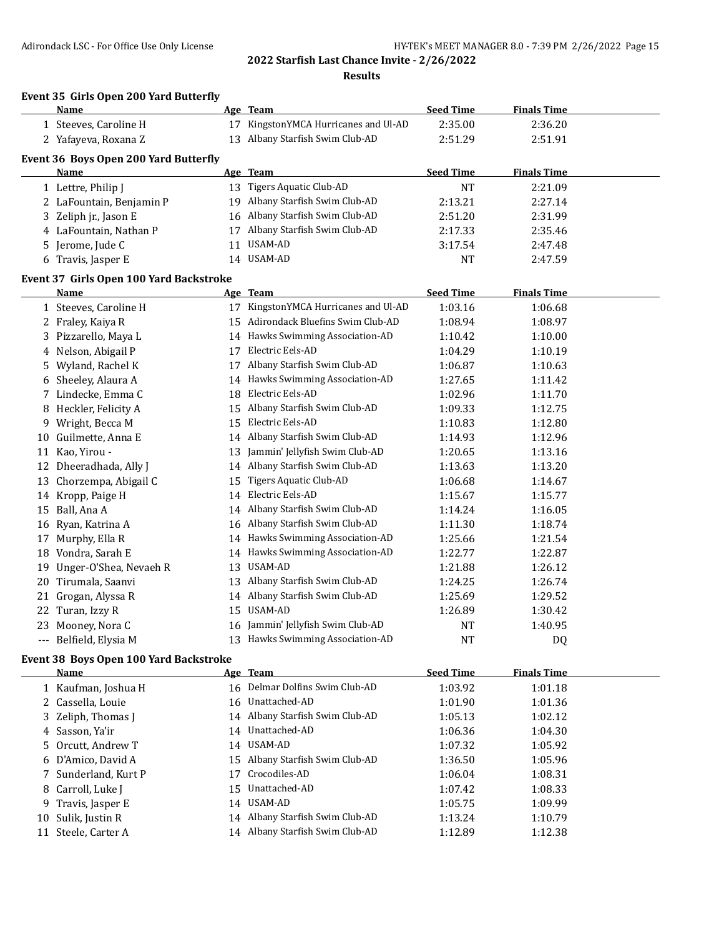### **2022 Starfish Last Chance Invite - 2/26/2022 Results**

#### **Event 35 Girls Open 200 Yard Butterfly**

|    | Name                                    |    | Age Team                             | <b>Seed Time</b> | <b>Finals Time</b> |  |
|----|-----------------------------------------|----|--------------------------------------|------------------|--------------------|--|
|    | 1 Steeves, Caroline H                   | 17 | KingstonYMCA Hurricanes and Ul-AD    | 2:35.00          | 2:36.20            |  |
|    | 2 Yafayeva, Roxana Z                    | 13 | Albany Starfish Swim Club-AD         | 2:51.29          | 2:51.91            |  |
|    | Event 36 Boys Open 200 Yard Butterfly   |    |                                      |                  |                    |  |
|    | Name                                    |    | Age Team                             | <b>Seed Time</b> | <b>Finals Time</b> |  |
|    | 1 Lettre, Philip J                      |    | 13 Tigers Aquatic Club-AD            | <b>NT</b>        | 2:21.09            |  |
|    | 2 LaFountain, Benjamin P                | 19 | Albany Starfish Swim Club-AD         | 2:13.21          | 2:27.14            |  |
|    | 3 Zeliph jr., Jason E                   |    | 16 Albany Starfish Swim Club-AD      | 2:51.20          | 2:31.99            |  |
|    | 4 LaFountain, Nathan P                  | 17 | Albany Starfish Swim Club-AD         | 2:17.33          | 2:35.46            |  |
| 5. | Jerome, Jude C                          | 11 | USAM-AD                              | 3:17.54          | 2:47.48            |  |
|    | 6 Travis, Jasper E                      |    | 14 USAM-AD                           | NT               | 2:47.59            |  |
|    | Event 37 Girls Open 100 Yard Backstroke |    |                                      |                  |                    |  |
|    | <b>Name</b>                             |    | Age Team                             | <b>Seed Time</b> | <b>Finals Time</b> |  |
|    | 1 Steeves, Caroline H                   |    | 17 KingstonYMCA Hurricanes and Ul-AD | 1:03.16          | 1:06.68            |  |
|    | 2 Fraley, Kaiya R                       | 15 | Adirondack Bluefins Swim Club-AD     | 1:08.94          | 1:08.97            |  |
|    | 3 Pizzarello, Maya L                    |    | 14 Hawks Swimming Association-AD     | 1:10.42          | 1:10.00            |  |
|    | 4 Nelson, Abigail P                     | 17 | Electric Eels-AD                     | 1:04.29          | 1:10.19            |  |
| 5  | Wyland, Rachel K                        | 17 | Albany Starfish Swim Club-AD         | 1:06.87          | 1:10.63            |  |
|    | 6 Sheeley, Alaura A                     |    | 14 Hawks Swimming Association-AD     | 1:27.65          | 1:11.42            |  |
|    | 7 Lindecke, Emma C                      | 18 | Electric Eels-AD                     | 1:02.96          | 1:11.70            |  |
|    | 8 Heckler, Felicity A                   | 15 | Albany Starfish Swim Club-AD         | 1:09.33          | 1:12.75            |  |
|    | 9 Wright, Becca M                       | 15 | Electric Eels-AD                     | 1:10.83          | 1:12.80            |  |
|    | 10 Guilmette, Anna E                    | 14 | Albany Starfish Swim Club-AD         | 1:14.93          | 1:12.96            |  |
|    | 11 Kao, Yirou -                         | 13 | Jammin' Jellyfish Swim Club-AD       | 1:20.65          | 1:13.16            |  |
|    | 12 Dheeradhada, Ally J                  | 14 | Albany Starfish Swim Club-AD         | 1:13.63          | 1:13.20            |  |
|    | 13 Chorzempa, Abigail C                 | 15 | Tigers Aquatic Club-AD               | 1:06.68          | 1:14.67            |  |
|    | 14 Kropp, Paige H                       | 14 | Electric Eels-AD                     | 1:15.67          | 1:15.77            |  |
|    | 15 Ball, Ana A                          | 14 | Albany Starfish Swim Club-AD         | 1:14.24          | 1:16.05            |  |
|    | 16 Ryan, Katrina A                      | 16 | Albany Starfish Swim Club-AD         | 1:11.30          | 1:18.74            |  |
| 17 | Murphy, Ella R                          | 14 | Hawks Swimming Association-AD        | 1:25.66          | 1:21.54            |  |
|    | 18 Vondra, Sarah E                      | 14 | Hawks Swimming Association-AD        | 1:22.77          | 1:22.87            |  |
|    | 19 Unger-O'Shea, Nevaeh R               | 13 | USAM-AD                              | 1:21.88          | 1:26.12            |  |
| 20 | Tirumala, Saanvi                        | 13 | Albany Starfish Swim Club-AD         | 1:24.25          | 1:26.74            |  |
| 21 | Grogan, Alyssa R                        | 14 | Albany Starfish Swim Club-AD         | 1:25.69          | 1:29.52            |  |
|    | 22 Turan, Izzy R                        | 15 | USAM-AD                              | 1:26.89          | 1:30.42            |  |
|    | 23 Mooney, Nora C                       | 16 | Jammin' Jellyfish Swim Club-AD       | <b>NT</b>        | 1:40.95            |  |
|    | --- Belfield, Elysia M                  |    | 13 Hawks Swimming Association-AD     | <b>NT</b>        | D <sub>0</sub>     |  |

# **Event 38 Boys Open 100 Yard Backstroke**

|     | Name                 |    | Age Team                        | <b>Seed Time</b> | <b>Finals Time</b> |
|-----|----------------------|----|---------------------------------|------------------|--------------------|
|     | 1 Kaufman, Joshua H  |    | 16 Delmar Dolfins Swim Club-AD  | 1:03.92          | 1:01.18            |
|     | 2 Cassella, Louie    |    | 16 Unattached-AD                | 1:01.90          | 1:01.36            |
|     | 3 Zeliph, Thomas J   |    | 14 Albany Starfish Swim Club-AD | 1:05.13          | 1:02.12            |
|     | 4 Sasson, Ya'ir      |    | 14 Unattached-AD                | 1:06.36          | 1:04.30            |
|     | 5 Orcutt, Andrew T   |    | 14 USAM-AD                      | 1:07.32          | 1:05.92            |
|     | 6 D'Amico, David A   |    | 15 Albany Starfish Swim Club-AD | 1:36.50          | 1:05.96            |
|     | 7 Sunderland, Kurt P | 17 | Crocodiles-AD                   | 1:06.04          | 1:08.31            |
|     | 8 Carroll, Luke J    |    | 15 Unattached-AD                | 1:07.42          | 1:08.33            |
|     | 9 Travis, Jasper E   |    | 14 USAM-AD                      | 1:05.75          | 1:09.99            |
| 10- | Sulik, Justin R      |    | 14 Albany Starfish Swim Club-AD | 1:13.24          | 1:10.79            |
| 11  | Steele, Carter A     |    | 14 Albany Starfish Swim Club-AD | 1:12.89          | 1:12.38            |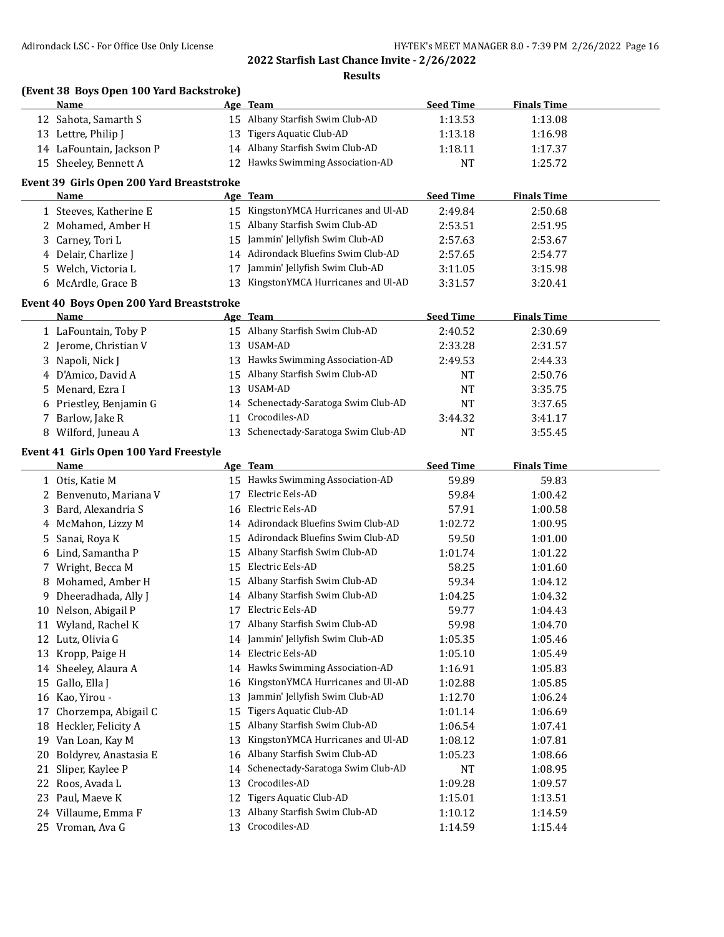**Results**

|    | (Event 38 Boys Open 100 Yard Backstroke)  |    |                                                  |                  |                    |  |
|----|-------------------------------------------|----|--------------------------------------------------|------------------|--------------------|--|
|    | Name                                      |    | Age Team                                         | <b>Seed Time</b> | <b>Finals Time</b> |  |
|    | 12 Sahota, Samarth S                      |    | 15 Albany Starfish Swim Club-AD                  | 1:13.53          | 1:13.08            |  |
|    | 13 Lettre, Philip J                       | 13 | Tigers Aquatic Club-AD                           | 1:13.18          | 1:16.98            |  |
|    | 14 LaFountain, Jackson P                  |    | 14 Albany Starfish Swim Club-AD                  | 1:18.11          | 1:17.37            |  |
|    | 15 Sheeley, Bennett A                     |    | 12 Hawks Swimming Association-AD                 | <b>NT</b>        | 1:25.72            |  |
|    | Event 39 Girls Open 200 Yard Breaststroke |    |                                                  |                  |                    |  |
|    | Name                                      |    | Age Team                                         | <b>Seed Time</b> | <b>Finals Time</b> |  |
|    | 1 Steeves, Katherine E                    |    | 15 KingstonYMCA Hurricanes and Ul-AD             | 2:49.84          | 2:50.68            |  |
|    | 2 Mohamed, Amber H                        |    | 15 Albany Starfish Swim Club-AD                  | 2:53.51          | 2:51.95            |  |
|    | 3 Carney, Tori L                          |    | 15 Jammin' Jellyfish Swim Club-AD                | 2:57.63          | 2:53.67            |  |
|    | 4 Delair, Charlize J                      |    | 14 Adirondack Bluefins Swim Club-AD              | 2:57.65          | 2:54.77            |  |
|    | 5 Welch, Victoria L                       |    | 17 Jammin' Jellyfish Swim Club-AD                | 3:11.05          | 3:15.98            |  |
|    | 6 McArdle, Grace B                        |    | 13 KingstonYMCA Hurricanes and Ul-AD             | 3:31.57          | 3:20.41            |  |
|    |                                           |    |                                                  |                  |                    |  |
|    | Event 40 Boys Open 200 Yard Breaststroke  |    |                                                  |                  |                    |  |
|    | Name                                      |    | Age Team                                         | <b>Seed Time</b> | <b>Finals Time</b> |  |
|    | 1 LaFountain, Toby P                      |    | 15 Albany Starfish Swim Club-AD                  | 2:40.52          | 2:30.69            |  |
|    | 2 Jerome, Christian V                     | 13 | <b>USAM-AD</b>                                   | 2:33.28          | 2:31.57            |  |
|    | 3 Napoli, Nick J                          |    | 13 Hawks Swimming Association-AD                 | 2:49.53          | 2:44.33            |  |
|    | 4 D'Amico, David A                        |    | 15 Albany Starfish Swim Club-AD                  | NT               | 2:50.76            |  |
|    | 5 Menard, Ezra I                          | 13 | USAM-AD                                          | <b>NT</b>        | 3:35.75            |  |
|    | 6 Priestley, Benjamin G                   | 14 | Schenectady-Saratoga Swim Club-AD                | <b>NT</b>        | 3:37.65            |  |
|    | 7 Barlow, Jake R                          | 11 | Crocodiles-AD                                    | 3:44.32          | 3:41.17            |  |
|    | 8 Wilford, Juneau A                       |    | 13 Schenectady-Saratoga Swim Club-AD             | <b>NT</b>        | 3:55.45            |  |
|    | Event 41 Girls Open 100 Yard Freestyle    |    |                                                  |                  |                    |  |
|    | <u>Name</u>                               |    | Age Team                                         | <b>Seed Time</b> | <b>Finals Time</b> |  |
|    | 1 Otis, Katie M                           |    | 15 Hawks Swimming Association-AD                 | 59.89            | 59.83              |  |
|    | 2 Benvenuto, Mariana V                    |    | 17 Electric Eels-AD                              | 59.84            | 1:00.42            |  |
|    | 3 Bard, Alexandria S                      |    | 16 Electric Eels-AD                              | 57.91            | 1:00.58            |  |
|    |                                           |    |                                                  |                  |                    |  |
|    | 4 McMahon, Lizzy M                        |    | 14 Adirondack Bluefins Swim Club-AD              | 1:02.72          | 1:00.95            |  |
|    | 5 Sanai, Roya K                           |    | 15 Adirondack Bluefins Swim Club-AD              | 59.50            | 1:01.00            |  |
|    | 6 Lind, Samantha P                        |    | 15 Albany Starfish Swim Club-AD                  | 1:01.74          | 1:01.22            |  |
|    | 7 Wright, Becca M                         |    | 15 Electric Eels-AD                              | 58.25            | 1:01.60            |  |
|    | 8 Mohamed, Amber H                        |    | 15 Albany Starfish Swim Club-AD                  | 59.34            | 1:04.12            |  |
|    | 9 Dheeradhada, Ally J                     |    | 14 Albany Starfish Swim Club-AD                  | 1:04.25          | 1:04.32            |  |
|    | 10 Nelson, Abigail P                      |    | 17 Electric Eels-AD                              | 59.77            | 1:04.43            |  |
|    | 11 Wyland, Rachel K                       |    | 17 Albany Starfish Swim Club-AD                  | 59.98            | 1:04.70            |  |
|    | 12 Lutz, Olivia G                         | 14 | Jammin' Jellyfish Swim Club-AD                   | 1:05.35          | 1:05.46            |  |
|    | 13 Kropp, Paige H                         | 14 | Electric Eels-AD                                 | 1:05.10          | 1:05.49            |  |
|    | 14 Sheeley, Alaura A                      |    | 14 Hawks Swimming Association-AD                 | 1:16.91          | 1:05.83            |  |
| 15 | Gallo, Ella J                             | 16 | KingstonYMCA Hurricanes and Ul-AD                | 1:02.88          | 1:05.85            |  |
|    | 16 Kao, Yirou -                           | 13 | Jammin' Jellyfish Swim Club-AD                   | 1:12.70          | 1:06.24            |  |
| 17 | Chorzempa, Abigail C                      | 15 | Tigers Aquatic Club-AD                           | 1:01.14          | 1:06.69            |  |
| 18 | Heckler, Felicity A                       | 15 | Albany Starfish Swim Club-AD                     | 1:06.54          | 1:07.41            |  |
|    | 19 Van Loan, Kay M                        | 13 | KingstonYMCA Hurricanes and Ul-AD                | 1:08.12          | 1:07.81            |  |
| 20 | Boldyrev, Anastasia E                     |    | 16 Albany Starfish Swim Club-AD                  | 1:05.23          | 1:08.66            |  |
| 21 | Sliper, Kaylee P                          | 14 | Schenectady-Saratoga Swim Club-AD                | NT               | 1:08.95            |  |
| 22 | Roos, Avada L                             | 13 | Crocodiles-AD                                    | 1:09.28          | 1:09.57            |  |
| 23 | Paul, Maeve K                             | 12 | Tigers Aquatic Club-AD                           | 1:15.01          | 1:13.51            |  |
|    | 24 Villaume, Emma F                       | 13 | Albany Starfish Swim Club-AD<br>13 Crocodiles-AD | 1:10.12          | 1:14.59            |  |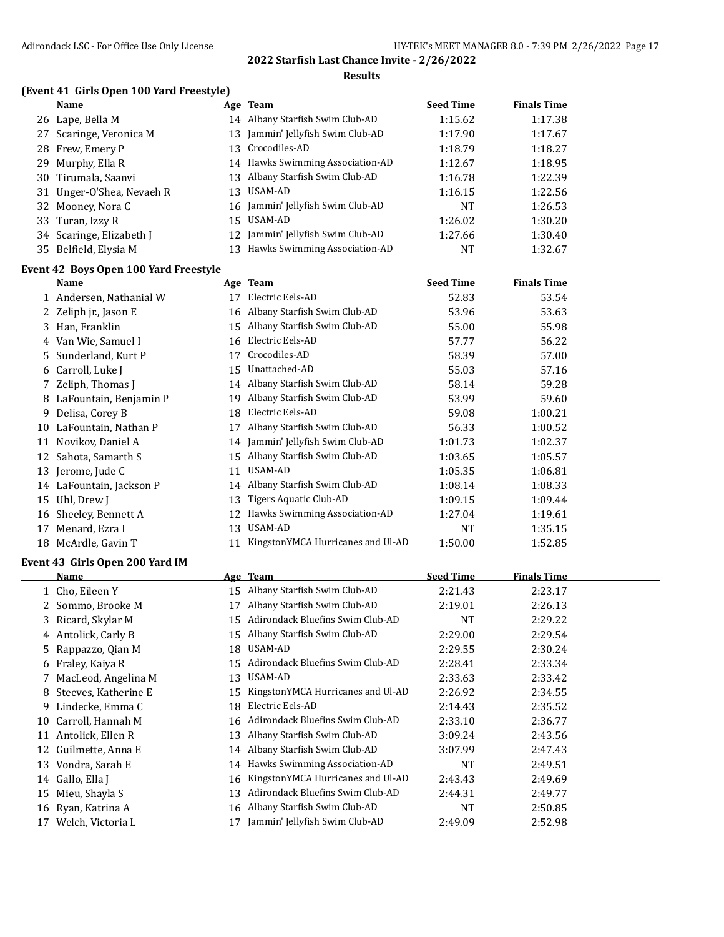#### **Results**

#### **(Event 41 Girls Open 100 Yard Freestyle)**

| Name                      | Age Team                          | <b>Seed Time</b> | <b>Finals Time</b> |  |
|---------------------------|-----------------------------------|------------------|--------------------|--|
| 26 Lape, Bella M          | 14 Albany Starfish Swim Club-AD   | 1:15.62          | 1:17.38            |  |
| 27 Scaringe, Veronica M   | 13 Jammin' Jellyfish Swim Club-AD | 1:17.90          | 1:17.67            |  |
| 28 Frew, Emery P          | 13 Crocodiles-AD                  | 1:18.79          | 1:18.27            |  |
| 29 Murphy, Ella R         | 14 Hawks Swimming Association-AD  | 1:12.67          | 1:18.95            |  |
| 30 Tirumala, Saanvi       | 13 Albany Starfish Swim Club-AD   | 1:16.78          | 1:22.39            |  |
| 31 Unger-O'Shea, Nevaeh R | 13 USAM-AD                        | 1:16.15          | 1:22.56            |  |
| 32 Mooney, Nora C         | 16 Jammin' Jellyfish Swim Club-AD | NT               | 1:26.53            |  |
| 33 Turan, Izzy R          | 15 USAM-AD                        | 1:26.02          | 1:30.20            |  |
| 34 Scaringe, Elizabeth J  | 12 Jammin' Jellyfish Swim Club-AD | 1:27.66          | 1:30.40            |  |
| 35 Belfield, Elysia M     | 13 Hawks Swimming Association-AD  | NT               | 1:32.67            |  |

#### **Event 42 Boys Open 100 Yard Freestyle**

|    | Name                     |    | Age Team                          | <b>Seed Time</b> | <b>Finals Time</b> |  |
|----|--------------------------|----|-----------------------------------|------------------|--------------------|--|
|    | 1 Andersen, Nathanial W  | 17 | Electric Eels-AD                  | 52.83            | 53.54              |  |
|    | 2 Zeliph jr., Jason E    |    | 16 Albany Starfish Swim Club-AD   | 53.96            | 53.63              |  |
|    | 3 Han, Franklin          | 15 | Albany Starfish Swim Club-AD      | 55.00            | 55.98              |  |
|    | 4 Van Wie, Samuel I      | 16 | Electric Eels-AD                  | 57.77            | 56.22              |  |
|    | 5 Sunderland, Kurt P     | 17 | Crocodiles-AD                     | 58.39            | 57.00              |  |
|    | 6 Carroll, Luke J        | 15 | Unattached-AD                     | 55.03            | 57.16              |  |
|    | 7 Zeliph, Thomas J       |    | 14 Albany Starfish Swim Club-AD   | 58.14            | 59.28              |  |
|    | 8 LaFountain, Benjamin P | 19 | Albany Starfish Swim Club-AD      | 53.99            | 59.60              |  |
| 9  | Delisa, Corey B          | 18 | Electric Eels-AD                  | 59.08            | 1:00.21            |  |
| 10 | LaFountain, Nathan P     | 17 | Albany Starfish Swim Club-AD      | 56.33            | 1:00.52            |  |
|    | 11 Novikov, Daniel A     |    | 14 Jammin' Jellyfish Swim Club-AD | 1:01.73          | 1:02.37            |  |
|    | 12 Sahota, Samarth S     | 15 | Albany Starfish Swim Club-AD      | 1:03.65          | 1:05.57            |  |
|    | 13 Jerome, Jude C        | 11 | USAM-AD                           | 1:05.35          | 1:06.81            |  |
|    | 14 LaFountain, Jackson P |    | 14 Albany Starfish Swim Club-AD   | 1:08.14          | 1:08.33            |  |
| 15 | Uhl, Drew J              | 13 | Tigers Aquatic Club-AD            | 1:09.15          | 1:09.44            |  |
| 16 | Sheeley, Bennett A       | 12 | Hawks Swimming Association-AD     | 1:27.04          | 1:19.61            |  |
| 17 | Menard, Ezra I           | 13 | USAM-AD                           | <b>NT</b>        | 1:35.15            |  |
| 18 | McArdle, Gavin T         | 11 | KingstonYMCA Hurricanes and Ul-AD | 1:50.00          | 1:52.85            |  |

#### **Event 43 Girls Open 200 Yard IM**

|    | Name                  |    | Age Team                          | <b>Seed Time</b> | <b>Finals Time</b> |
|----|-----------------------|----|-----------------------------------|------------------|--------------------|
|    | 1 Cho, Eileen Y       | 15 | Albany Starfish Swim Club-AD      | 2:21.43          | 2:23.17            |
|    | 2 Sommo, Brooke M     | 17 | Albany Starfish Swim Club-AD      | 2:19.01          | 2:26.13            |
|    | 3 Ricard, Skylar M    | 15 | Adirondack Bluefins Swim Club-AD  | <b>NT</b>        | 2:29.22            |
|    | 4 Antolick, Carly B   | 15 | Albany Starfish Swim Club-AD      | 2:29.00          | 2:29.54            |
|    | 5 Rappazzo, Qian M    | 18 | USAM-AD                           | 2:29.55          | 2:30.24            |
|    | 6 Fraley, Kaiya R     | 15 | Adirondack Bluefins Swim Club-AD  | 2:28.41          | 2:33.34            |
|    | 7 MacLeod, Angelina M | 13 | USAM-AD                           | 2:33.63          | 2:33.42            |
| 8. | Steeves, Katherine E  | 15 | KingstonYMCA Hurricanes and Ul-AD | 2:26.92          | 2:34.55            |
| 9  | Lindecke, Emma C      | 18 | Electric Eels-AD                  | 2:14.43          | 2:35.52            |
| 10 | Carroll, Hannah M     | 16 | Adirondack Bluefins Swim Club-AD  | 2:33.10          | 2:36.77            |
| 11 | Antolick, Ellen R     | 13 | Albany Starfish Swim Club-AD      | 3:09.24          | 2:43.56            |
| 12 | Guilmette, Anna E     | 14 | Albany Starfish Swim Club-AD      | 3:07.99          | 2:47.43            |
| 13 | Vondra, Sarah E       | 14 | Hawks Swimming Association-AD     | <b>NT</b>        | 2:49.51            |
| 14 | Gallo, Ella J         | 16 | KingstonYMCA Hurricanes and Ul-AD | 2:43.43          | 2:49.69            |
| 15 | Mieu, Shayla S        | 13 | Adirondack Bluefins Swim Club-AD  | 2:44.31          | 2:49.77            |
| 16 | Ryan, Katrina A       | 16 | Albany Starfish Swim Club-AD      | NT               | 2:50.85            |
| 17 | Welch, Victoria L     | 17 | Jammin' Jellyfish Swim Club-AD    | 2:49.09          | 2:52.98            |